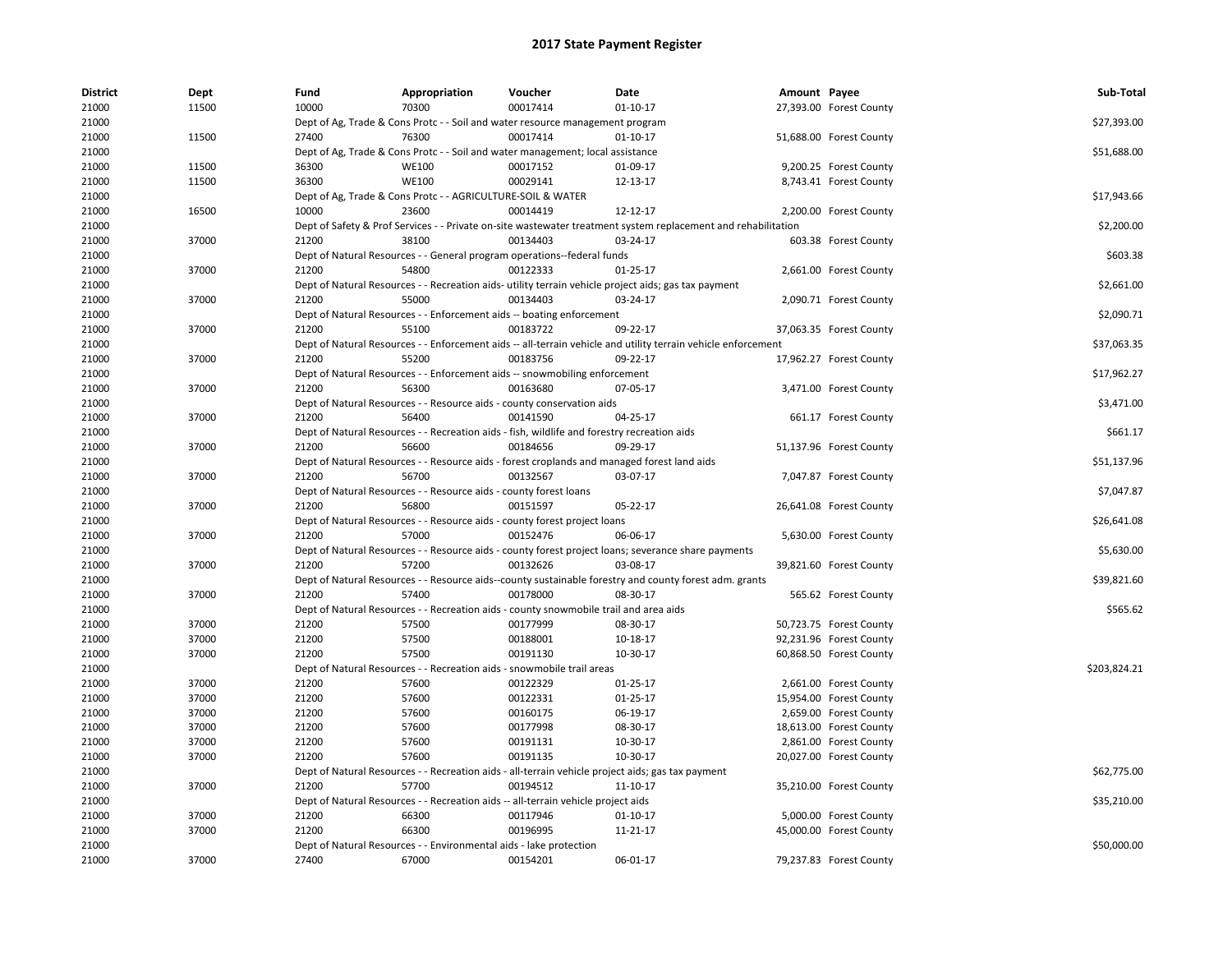| <b>District</b> | <b>Dept</b> | Fund  | Appropriation                                                                               | Voucher  | Date                                                                                                          | Amount Payee |                         | Sub-Total    |
|-----------------|-------------|-------|---------------------------------------------------------------------------------------------|----------|---------------------------------------------------------------------------------------------------------------|--------------|-------------------------|--------------|
| 21000           | 11500       | 10000 | 70300                                                                                       | 00017414 | $01-10-17$                                                                                                    |              | 27,393.00 Forest County |              |
| 21000           |             |       | Dept of Ag, Trade & Cons Protc - - Soil and water resource management program               |          |                                                                                                               |              |                         | \$27,393.00  |
| 21000           | 11500       | 27400 | 76300                                                                                       | 00017414 | $01 - 10 - 17$                                                                                                |              | 51,688.00 Forest County |              |
| 21000           |             |       | Dept of Ag, Trade & Cons Protc - - Soil and water management; local assistance              |          |                                                                                                               |              |                         | \$51,688.00  |
| 21000           | 11500       | 36300 | <b>WE100</b>                                                                                | 00017152 | 01-09-17                                                                                                      |              | 9,200.25 Forest County  |              |
| 21000           | 11500       | 36300 | <b>WE100</b>                                                                                | 00029141 | 12-13-17                                                                                                      |              | 8,743.41 Forest County  |              |
| 21000           |             |       | Dept of Ag, Trade & Cons Protc - - AGRICULTURE-SOIL & WATER                                 |          |                                                                                                               |              |                         | \$17,943.66  |
| 21000           | 16500       | 10000 | 23600                                                                                       | 00014419 | 12-12-17                                                                                                      |              | 2,200.00 Forest County  |              |
| 21000           |             |       |                                                                                             |          | Dept of Safety & Prof Services - - Private on-site wastewater treatment system replacement and rehabilitation |              |                         | \$2,200.00   |
| 21000           | 37000       | 21200 | 38100                                                                                       | 00134403 | 03-24-17                                                                                                      |              | 603.38 Forest County    |              |
| 21000           |             |       | Dept of Natural Resources - - General program operations--federal funds                     |          |                                                                                                               |              |                         | \$603.38     |
| 21000           | 37000       | 21200 | 54800                                                                                       | 00122333 | $01-25-17$                                                                                                    |              | 2,661.00 Forest County  |              |
| 21000           |             |       |                                                                                             |          | Dept of Natural Resources - - Recreation aids- utility terrain vehicle project aids; gas tax payment          |              |                         | \$2,661.00   |
| 21000           | 37000       | 21200 | 55000                                                                                       | 00134403 | 03-24-17                                                                                                      |              | 2,090.71 Forest County  |              |
| 21000           |             |       | Dept of Natural Resources - - Enforcement aids -- boating enforcement                       |          |                                                                                                               |              |                         | \$2,090.71   |
| 21000           | 37000       | 21200 | 55100                                                                                       | 00183722 | 09-22-17                                                                                                      |              | 37,063.35 Forest County |              |
| 21000           |             |       |                                                                                             |          | Dept of Natural Resources - - Enforcement aids -- all-terrain vehicle and utility terrain vehicle enforcement |              |                         | \$37,063.35  |
| 21000           | 37000       | 21200 | 55200                                                                                       | 00183756 | 09-22-17                                                                                                      |              | 17,962.27 Forest County |              |
| 21000           |             |       | Dept of Natural Resources - - Enforcement aids -- snowmobiling enforcement                  |          |                                                                                                               |              |                         | \$17,962.27  |
| 21000           | 37000       | 21200 | 56300                                                                                       | 00163680 | 07-05-17                                                                                                      |              | 3,471.00 Forest County  |              |
| 21000           |             |       | Dept of Natural Resources - - Resource aids - county conservation aids                      |          |                                                                                                               |              |                         | \$3,471.00   |
| 21000           | 37000       | 21200 | 56400                                                                                       | 00141590 | 04-25-17                                                                                                      |              | 661.17 Forest County    |              |
| 21000           |             |       | Dept of Natural Resources - - Recreation aids - fish, wildlife and forestry recreation aids |          |                                                                                                               |              |                         | \$661.17     |
| 21000           | 37000       | 21200 | 56600                                                                                       | 00184656 | 09-29-17                                                                                                      |              | 51,137.96 Forest County |              |
| 21000           |             |       |                                                                                             |          | Dept of Natural Resources - - Resource aids - forest croplands and managed forest land aids                   |              |                         | \$51,137.96  |
| 21000           | 37000       | 21200 | 56700                                                                                       | 00132567 | 03-07-17                                                                                                      |              | 7,047.87 Forest County  |              |
| 21000           |             |       | Dept of Natural Resources - - Resource aids - county forest loans                           |          |                                                                                                               |              |                         | \$7,047.87   |
|                 | 37000       | 21200 | 56800                                                                                       | 00151597 |                                                                                                               |              |                         |              |
| 21000<br>21000  |             |       | Dept of Natural Resources - - Resource aids - county forest project loans                   |          | 05-22-17                                                                                                      |              | 26,641.08 Forest County | \$26,641.08  |
| 21000           | 37000       | 21200 | 57000                                                                                       | 00152476 | 06-06-17                                                                                                      |              | 5,630.00 Forest County  |              |
|                 |             |       |                                                                                             |          |                                                                                                               |              |                         |              |
| 21000           |             |       |                                                                                             |          | Dept of Natural Resources - - Resource aids - county forest project loans; severance share payments           |              |                         | \$5,630.00   |
| 21000           | 37000       | 21200 | 57200                                                                                       | 00132626 | 03-08-17                                                                                                      |              | 39,821.60 Forest County |              |
| 21000           |             |       |                                                                                             |          | Dept of Natural Resources - - Resource aids--county sustainable forestry and county forest adm. grants        |              |                         | \$39,821.60  |
| 21000           | 37000       | 21200 | 57400                                                                                       | 00178000 | 08-30-17                                                                                                      |              | 565.62 Forest County    |              |
| 21000           |             |       | Dept of Natural Resources - - Recreation aids - county snowmobile trail and area aids       |          |                                                                                                               |              |                         | \$565.62     |
| 21000           | 37000       | 21200 | 57500                                                                                       | 00177999 | 08-30-17                                                                                                      |              | 50,723.75 Forest County |              |
| 21000           | 37000       | 21200 | 57500                                                                                       | 00188001 | 10-18-17                                                                                                      |              | 92,231.96 Forest County |              |
| 21000           | 37000       | 21200 | 57500                                                                                       | 00191130 | 10-30-17                                                                                                      |              | 60,868.50 Forest County |              |
| 21000           |             |       | Dept of Natural Resources - - Recreation aids - snowmobile trail areas                      |          |                                                                                                               |              |                         | \$203,824.21 |
| 21000           | 37000       | 21200 | 57600                                                                                       | 00122329 | 01-25-17                                                                                                      |              | 2,661.00 Forest County  |              |
| 21000           | 37000       | 21200 | 57600                                                                                       | 00122331 | $01 - 25 - 17$                                                                                                |              | 15,954.00 Forest County |              |
| 21000           | 37000       | 21200 | 57600                                                                                       | 00160175 | 06-19-17                                                                                                      |              | 2,659.00 Forest County  |              |
| 21000           | 37000       | 21200 | 57600                                                                                       | 00177998 | 08-30-17                                                                                                      |              | 18,613.00 Forest County |              |
| 21000           | 37000       | 21200 | 57600                                                                                       | 00191131 | 10-30-17                                                                                                      |              | 2,861.00 Forest County  |              |
| 21000           | 37000       | 21200 | 57600                                                                                       | 00191135 | 10-30-17                                                                                                      |              | 20,027.00 Forest County |              |
| 21000           |             |       |                                                                                             |          | Dept of Natural Resources - - Recreation aids - all-terrain vehicle project aids; gas tax payment             |              |                         | \$62,775.00  |
| 21000           | 37000       | 21200 | 57700                                                                                       | 00194512 | 11-10-17                                                                                                      |              | 35,210.00 Forest County |              |
| 21000           |             |       | Dept of Natural Resources - - Recreation aids -- all-terrain vehicle project aids           |          |                                                                                                               |              |                         | \$35,210.00  |
| 21000           | 37000       | 21200 | 66300                                                                                       | 00117946 | $01 - 10 - 17$                                                                                                |              | 5,000.00 Forest County  |              |
| 21000           | 37000       | 21200 | 66300                                                                                       | 00196995 | 11-21-17                                                                                                      |              | 45,000.00 Forest County |              |
| 21000           |             |       | Dept of Natural Resources - - Environmental aids - lake protection                          |          |                                                                                                               |              |                         | \$50,000.00  |
| 21000           | 37000       | 27400 | 67000                                                                                       | 00154201 | 06-01-17                                                                                                      |              | 79,237.83 Forest County |              |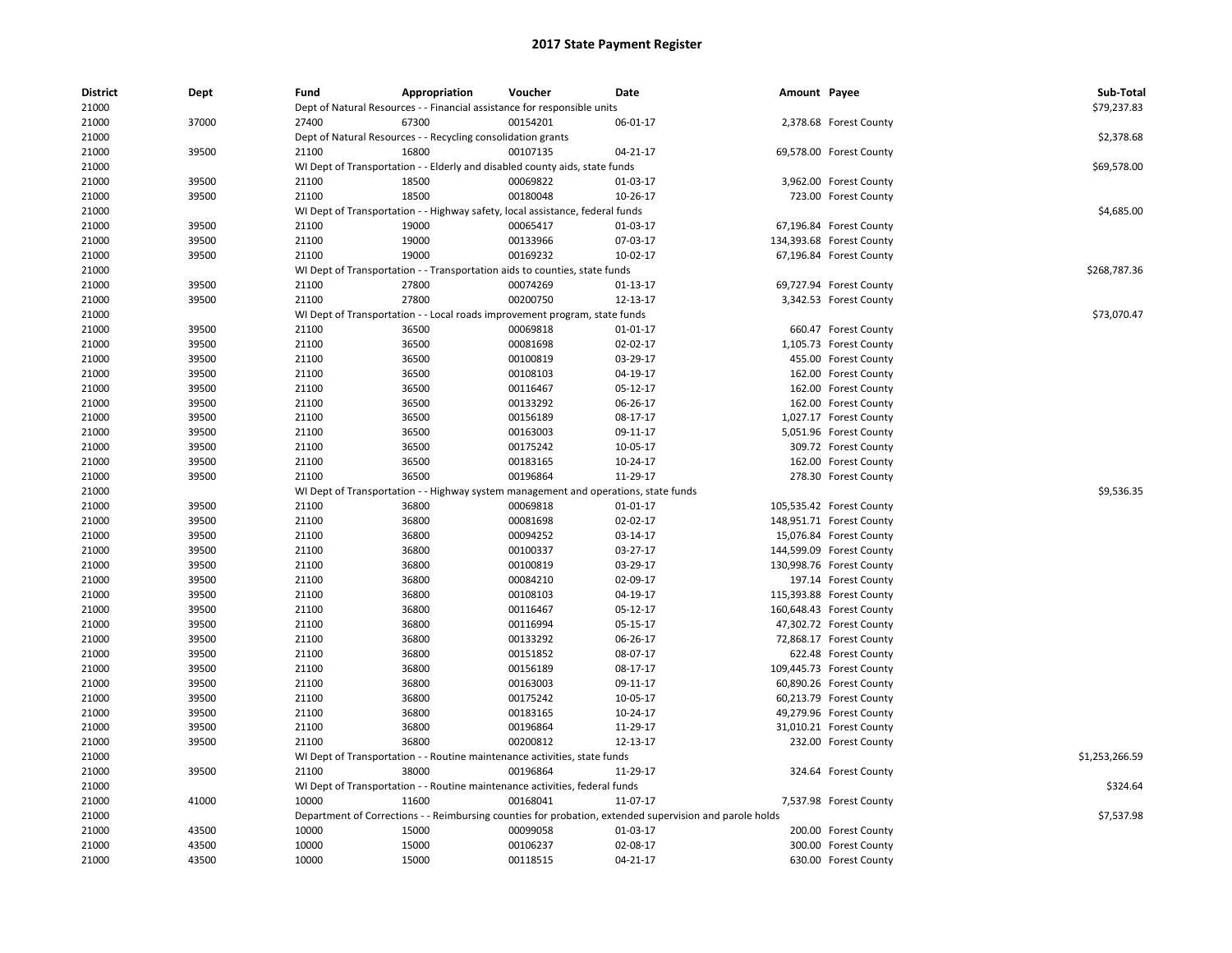| <b>District</b><br>21000 | Dept  | Fund  | Appropriation<br>Dept of Natural Resources - - Financial assistance for responsible units               | Voucher  | Date     | Amount Payee |                          | Sub-Total<br>\$79,237.83 |
|--------------------------|-------|-------|---------------------------------------------------------------------------------------------------------|----------|----------|--------------|--------------------------|--------------------------|
|                          |       |       |                                                                                                         |          |          |              |                          |                          |
| 21000                    | 37000 | 27400 | 67300                                                                                                   | 00154201 | 06-01-17 |              | 2,378.68 Forest County   |                          |
| 21000                    |       |       | Dept of Natural Resources - - Recycling consolidation grants                                            |          |          |              |                          | \$2,378.68               |
| 21000                    | 39500 | 21100 | 16800                                                                                                   | 00107135 | 04-21-17 |              | 69,578.00 Forest County  | \$69,578.00              |
| 21000                    |       |       | WI Dept of Transportation - - Elderly and disabled county aids, state funds                             |          |          |              |                          |                          |
| 21000                    | 39500 | 21100 | 18500                                                                                                   | 00069822 | 01-03-17 |              | 3,962.00 Forest County   |                          |
| 21000                    | 39500 | 21100 | 18500                                                                                                   | 00180048 | 10-26-17 |              | 723.00 Forest County     |                          |
| 21000                    |       |       | WI Dept of Transportation - - Highway safety, local assistance, federal funds                           |          |          |              |                          | \$4,685.00               |
| 21000                    | 39500 | 21100 | 19000                                                                                                   | 00065417 | 01-03-17 |              | 67,196.84 Forest County  |                          |
| 21000                    | 39500 | 21100 | 19000                                                                                                   | 00133966 | 07-03-17 |              | 134,393.68 Forest County |                          |
| 21000                    | 39500 | 21100 | 19000                                                                                                   | 00169232 | 10-02-17 |              | 67,196.84 Forest County  |                          |
| 21000                    |       |       | WI Dept of Transportation - - Transportation aids to counties, state funds                              |          |          |              |                          | \$268,787.36             |
| 21000                    | 39500 | 21100 | 27800                                                                                                   | 00074269 | 01-13-17 |              | 69,727.94 Forest County  |                          |
| 21000                    | 39500 | 21100 | 27800                                                                                                   | 00200750 | 12-13-17 |              | 3,342.53 Forest County   |                          |
| 21000                    |       |       | WI Dept of Transportation - - Local roads improvement program, state funds                              |          |          |              |                          | \$73,070.47              |
| 21000                    | 39500 | 21100 | 36500                                                                                                   | 00069818 | 01-01-17 |              | 660.47 Forest County     |                          |
| 21000                    | 39500 | 21100 | 36500                                                                                                   | 00081698 | 02-02-17 |              | 1,105.73 Forest County   |                          |
| 21000                    | 39500 | 21100 | 36500                                                                                                   | 00100819 | 03-29-17 |              | 455.00 Forest County     |                          |
| 21000                    | 39500 | 21100 | 36500                                                                                                   | 00108103 | 04-19-17 |              | 162.00 Forest County     |                          |
| 21000                    | 39500 | 21100 | 36500                                                                                                   | 00116467 | 05-12-17 |              | 162.00 Forest County     |                          |
| 21000                    | 39500 | 21100 | 36500                                                                                                   | 00133292 | 06-26-17 |              | 162.00 Forest County     |                          |
| 21000                    | 39500 | 21100 | 36500                                                                                                   | 00156189 | 08-17-17 |              | 1,027.17 Forest County   |                          |
| 21000                    | 39500 | 21100 | 36500                                                                                                   | 00163003 | 09-11-17 |              | 5,051.96 Forest County   |                          |
| 21000                    | 39500 | 21100 | 36500                                                                                                   | 00175242 | 10-05-17 |              | 309.72 Forest County     |                          |
| 21000                    | 39500 | 21100 | 36500                                                                                                   | 00183165 | 10-24-17 |              | 162.00 Forest County     |                          |
| 21000                    | 39500 | 21100 | 36500                                                                                                   | 00196864 | 11-29-17 |              | 278.30 Forest County     |                          |
| 21000                    |       |       | WI Dept of Transportation - - Highway system management and operations, state funds                     |          |          |              |                          | \$9,536.35               |
| 21000                    | 39500 | 21100 | 36800                                                                                                   | 00069818 | 01-01-17 |              | 105,535.42 Forest County |                          |
| 21000                    | 39500 | 21100 | 36800                                                                                                   | 00081698 | 02-02-17 |              | 148,951.71 Forest County |                          |
| 21000                    | 39500 | 21100 | 36800                                                                                                   | 00094252 | 03-14-17 |              | 15,076.84 Forest County  |                          |
| 21000                    | 39500 | 21100 | 36800                                                                                                   | 00100337 | 03-27-17 |              | 144,599.09 Forest County |                          |
| 21000                    | 39500 | 21100 | 36800                                                                                                   | 00100819 | 03-29-17 |              | 130,998.76 Forest County |                          |
| 21000                    | 39500 | 21100 | 36800                                                                                                   | 00084210 | 02-09-17 |              | 197.14 Forest County     |                          |
| 21000                    | 39500 | 21100 | 36800                                                                                                   | 00108103 | 04-19-17 |              | 115,393.88 Forest County |                          |
| 21000                    | 39500 | 21100 | 36800                                                                                                   | 00116467 | 05-12-17 |              | 160,648.43 Forest County |                          |
| 21000                    | 39500 | 21100 | 36800                                                                                                   | 00116994 | 05-15-17 |              | 47,302.72 Forest County  |                          |
| 21000                    | 39500 | 21100 | 36800                                                                                                   | 00133292 | 06-26-17 |              | 72,868.17 Forest County  |                          |
| 21000                    | 39500 | 21100 | 36800                                                                                                   | 00151852 | 08-07-17 |              | 622.48 Forest County     |                          |
| 21000                    | 39500 | 21100 | 36800                                                                                                   | 00156189 | 08-17-17 |              | 109,445.73 Forest County |                          |
| 21000                    | 39500 | 21100 | 36800                                                                                                   | 00163003 | 09-11-17 |              | 60,890.26 Forest County  |                          |
| 21000                    | 39500 | 21100 | 36800                                                                                                   | 00175242 | 10-05-17 |              | 60,213.79 Forest County  |                          |
| 21000                    | 39500 | 21100 | 36800                                                                                                   | 00183165 | 10-24-17 |              | 49,279.96 Forest County  |                          |
| 21000                    | 39500 | 21100 | 36800                                                                                                   | 00196864 | 11-29-17 |              | 31,010.21 Forest County  |                          |
| 21000                    | 39500 | 21100 | 36800                                                                                                   | 00200812 | 12-13-17 |              | 232.00 Forest County     |                          |
| 21000                    |       |       | WI Dept of Transportation - - Routine maintenance activities, state funds                               |          |          |              |                          | \$1,253,266.59           |
| 21000                    | 39500 | 21100 | 38000                                                                                                   | 00196864 | 11-29-17 |              | 324.64 Forest County     |                          |
| 21000                    |       |       | WI Dept of Transportation - - Routine maintenance activities, federal funds                             |          |          |              |                          | \$324.64                 |
| 21000                    | 41000 | 10000 | 11600                                                                                                   | 00168041 | 11-07-17 |              | 7,537.98 Forest County   |                          |
| 21000                    |       |       | Department of Corrections - - Reimbursing counties for probation, extended supervision and parole holds |          |          |              |                          | \$7,537.98               |
| 21000                    | 43500 | 10000 | 15000                                                                                                   | 00099058 | 01-03-17 |              | 200.00 Forest County     |                          |
| 21000                    | 43500 | 10000 | 15000                                                                                                   | 00106237 | 02-08-17 |              | 300.00 Forest County     |                          |
| 21000                    | 43500 | 10000 | 15000                                                                                                   | 00118515 | 04-21-17 |              | 630.00 Forest County     |                          |
|                          |       |       |                                                                                                         |          |          |              |                          |                          |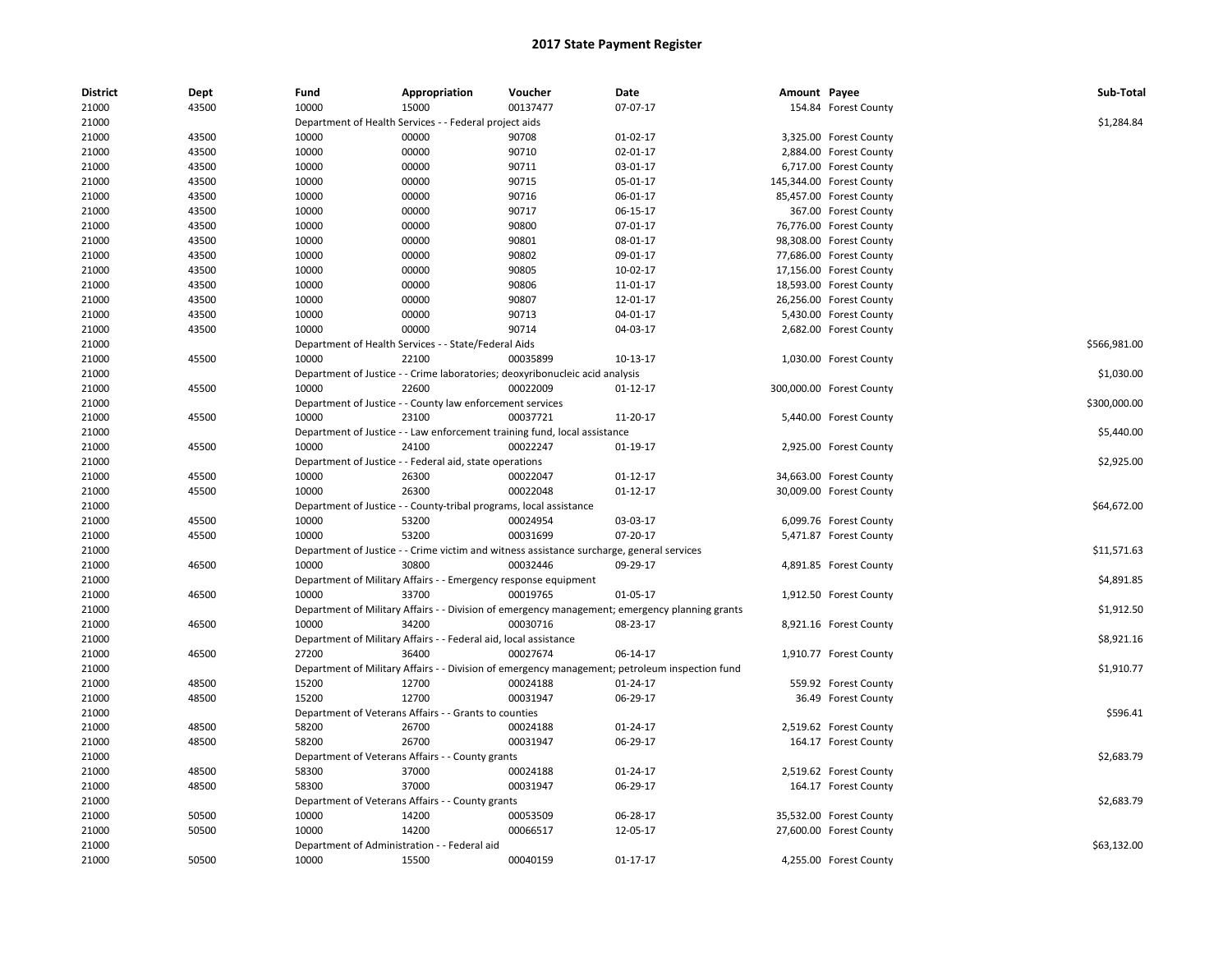| <b>District</b> | Dept  | Fund  | Appropriation                                                      | Voucher                                                                                   | Date                                                                                           | Amount Payee |                                                    | Sub-Total    |
|-----------------|-------|-------|--------------------------------------------------------------------|-------------------------------------------------------------------------------------------|------------------------------------------------------------------------------------------------|--------------|----------------------------------------------------|--------------|
| 21000           | 43500 | 10000 | 15000                                                              | 00137477                                                                                  | 07-07-17                                                                                       |              | 154.84 Forest County                               |              |
| 21000           |       |       | Department of Health Services - - Federal project aids             |                                                                                           |                                                                                                |              |                                                    | \$1,284.84   |
| 21000           | 43500 | 10000 | 00000                                                              | 90708                                                                                     | $01-02-17$                                                                                     |              | 3,325.00 Forest County                             |              |
| 21000           | 43500 | 10000 | 00000                                                              | 90710                                                                                     | 02-01-17                                                                                       |              | 2,884.00 Forest County                             |              |
| 21000           | 43500 | 10000 | 00000                                                              | 90711                                                                                     | 03-01-17                                                                                       |              | 6,717.00 Forest County                             |              |
| 21000           | 43500 | 10000 | 00000                                                              | 90715                                                                                     | 05-01-17                                                                                       |              | 145,344.00 Forest County                           |              |
| 21000           | 43500 | 10000 | 00000                                                              | 90716                                                                                     | 06-01-17                                                                                       |              | 85,457.00 Forest County                            |              |
| 21000           | 43500 | 10000 | 00000                                                              | 90717                                                                                     | 06-15-17                                                                                       |              | 367.00 Forest County                               |              |
| 21000           | 43500 | 10000 | 00000                                                              | 90800                                                                                     | 07-01-17                                                                                       |              | 76,776.00 Forest County                            |              |
| 21000           | 43500 | 10000 | 00000                                                              | 90801                                                                                     | 08-01-17                                                                                       |              | 98,308.00 Forest County                            |              |
| 21000           | 43500 | 10000 | 00000                                                              | 90802                                                                                     | 09-01-17                                                                                       |              | 77,686.00 Forest County                            |              |
| 21000           | 43500 | 10000 | 00000                                                              | 90805                                                                                     | 10-02-17                                                                                       |              | 17,156.00 Forest County                            |              |
| 21000           | 43500 | 10000 | 00000                                                              | 90806                                                                                     | 11-01-17                                                                                       |              | 18,593.00 Forest County                            |              |
| 21000           | 43500 | 10000 | 00000                                                              | 90807                                                                                     | 12-01-17                                                                                       |              | 26,256.00 Forest County                            |              |
| 21000           | 43500 | 10000 | 00000                                                              | 90713                                                                                     | 04-01-17                                                                                       |              | 5,430.00 Forest County                             |              |
| 21000           | 43500 | 10000 | 00000                                                              | 90714                                                                                     | 04-03-17                                                                                       |              | 2,682.00 Forest County                             |              |
| 21000           |       |       | Department of Health Services - - State/Federal Aids               |                                                                                           |                                                                                                |              |                                                    | \$566,981.00 |
| 21000           | 45500 | 10000 | 22100                                                              | 00035899                                                                                  | 10-13-17                                                                                       |              | 1,030.00 Forest County                             |              |
| 21000           |       |       |                                                                    | Department of Justice - - Crime laboratories; deoxyribonucleic acid analysis              |                                                                                                |              |                                                    | \$1,030.00   |
| 21000           | 45500 | 10000 | 22600                                                              | 00022009                                                                                  | $01 - 12 - 17$                                                                                 |              | 300,000.00 Forest County                           |              |
| 21000           |       |       | Department of Justice - - County law enforcement services          |                                                                                           |                                                                                                |              |                                                    | \$300,000.00 |
| 21000           | 45500 | 10000 | 23100                                                              | 00037721                                                                                  | 11-20-17                                                                                       |              | 5,440.00 Forest County                             |              |
| 21000           |       |       |                                                                    | Department of Justice - - Law enforcement training fund, local assistance                 |                                                                                                |              |                                                    | \$5,440.00   |
| 21000           | 45500 | 10000 | 24100                                                              | 00022247                                                                                  | 01-19-17                                                                                       |              | 2,925.00 Forest County                             |              |
| 21000           |       |       | Department of Justice - - Federal aid, state operations            |                                                                                           |                                                                                                |              |                                                    | \$2,925.00   |
| 21000           | 45500 | 10000 | 26300                                                              | 00022047                                                                                  | $01 - 12 - 17$                                                                                 |              | 34,663.00 Forest County                            |              |
| 21000           | 45500 | 10000 | 26300                                                              | 00022048                                                                                  | $01-12-17$                                                                                     |              | 30,009.00 Forest County                            |              |
| 21000           |       |       | Department of Justice - - County-tribal programs, local assistance |                                                                                           |                                                                                                |              |                                                    | \$64,672.00  |
| 21000           | 45500 | 10000 | 53200                                                              | 00024954                                                                                  | 03-03-17                                                                                       |              | 6,099.76 Forest County                             |              |
| 21000           | 45500 | 10000 | 53200                                                              | 00031699                                                                                  | 07-20-17                                                                                       |              | 5,471.87 Forest County                             |              |
| 21000           |       |       |                                                                    | Department of Justice - - Crime victim and witness assistance surcharge, general services |                                                                                                |              |                                                    | \$11,571.63  |
| 21000           | 46500 | 10000 | 30800                                                              | 00032446                                                                                  | 09-29-17                                                                                       |              | 4,891.85 Forest County                             |              |
| 21000           |       |       | Department of Military Affairs - - Emergency response equipment    |                                                                                           |                                                                                                |              |                                                    | \$4,891.85   |
| 21000           | 46500 | 10000 | 33700                                                              | 00019765                                                                                  | 01-05-17                                                                                       |              | 1,912.50 Forest County                             |              |
| 21000           |       |       |                                                                    |                                                                                           | Department of Military Affairs - - Division of emergency management; emergency planning grants |              |                                                    | \$1,912.50   |
| 21000           | 46500 | 10000 | 34200                                                              | 00030716                                                                                  | 08-23-17                                                                                       |              | 8,921.16 Forest County                             |              |
| 21000           |       |       | Department of Military Affairs - - Federal aid, local assistance   |                                                                                           |                                                                                                |              |                                                    | \$8,921.16   |
| 21000           | 46500 | 27200 | 36400                                                              | 00027674                                                                                  | 06-14-17                                                                                       |              | 1,910.77 Forest County                             |              |
| 21000           |       |       |                                                                    |                                                                                           | Department of Military Affairs - - Division of emergency management; petroleum inspection fund |              |                                                    | \$1,910.77   |
| 21000           | 48500 | 15200 | 12700                                                              | 00024188                                                                                  | 01-24-17                                                                                       |              | 559.92 Forest County                               |              |
| 21000           | 48500 | 15200 | 12700                                                              | 00031947                                                                                  | 06-29-17                                                                                       |              | 36.49 Forest County                                |              |
| 21000           |       |       | Department of Veterans Affairs - - Grants to counties              |                                                                                           |                                                                                                |              |                                                    | \$596.41     |
| 21000           | 48500 | 58200 | 26700                                                              | 00024188                                                                                  | 01-24-17                                                                                       |              | 2,519.62 Forest County                             |              |
| 21000           | 48500 | 58200 | 26700                                                              | 00031947                                                                                  | 06-29-17                                                                                       |              | 164.17 Forest County                               |              |
| 21000           |       |       | Department of Veterans Affairs - - County grants                   |                                                                                           |                                                                                                |              |                                                    | \$2,683.79   |
| 21000           | 48500 | 58300 | 37000                                                              | 00024188                                                                                  | 01-24-17                                                                                       |              | 2,519.62 Forest County                             |              |
| 21000           | 48500 | 58300 | 37000                                                              | 00031947                                                                                  | 06-29-17                                                                                       |              | 164.17 Forest County                               |              |
| 21000           |       |       | Department of Veterans Affairs - - County grants                   |                                                                                           |                                                                                                |              |                                                    | \$2,683.79   |
|                 | 50500 | 10000 | 14200                                                              | 00053509                                                                                  | 06-28-17                                                                                       |              |                                                    |              |
| 21000<br>21000  | 50500 | 10000 | 14200                                                              | 00066517                                                                                  | 12-05-17                                                                                       |              | 35,532.00 Forest County<br>27,600.00 Forest County |              |
| 21000           |       |       | Department of Administration - - Federal aid                       |                                                                                           |                                                                                                |              |                                                    | \$63,132.00  |
| 21000           | 50500 | 10000 | 15500                                                              | 00040159                                                                                  | $01 - 17 - 17$                                                                                 |              |                                                    |              |
|                 |       |       |                                                                    |                                                                                           |                                                                                                |              | 4,255.00 Forest County                             |              |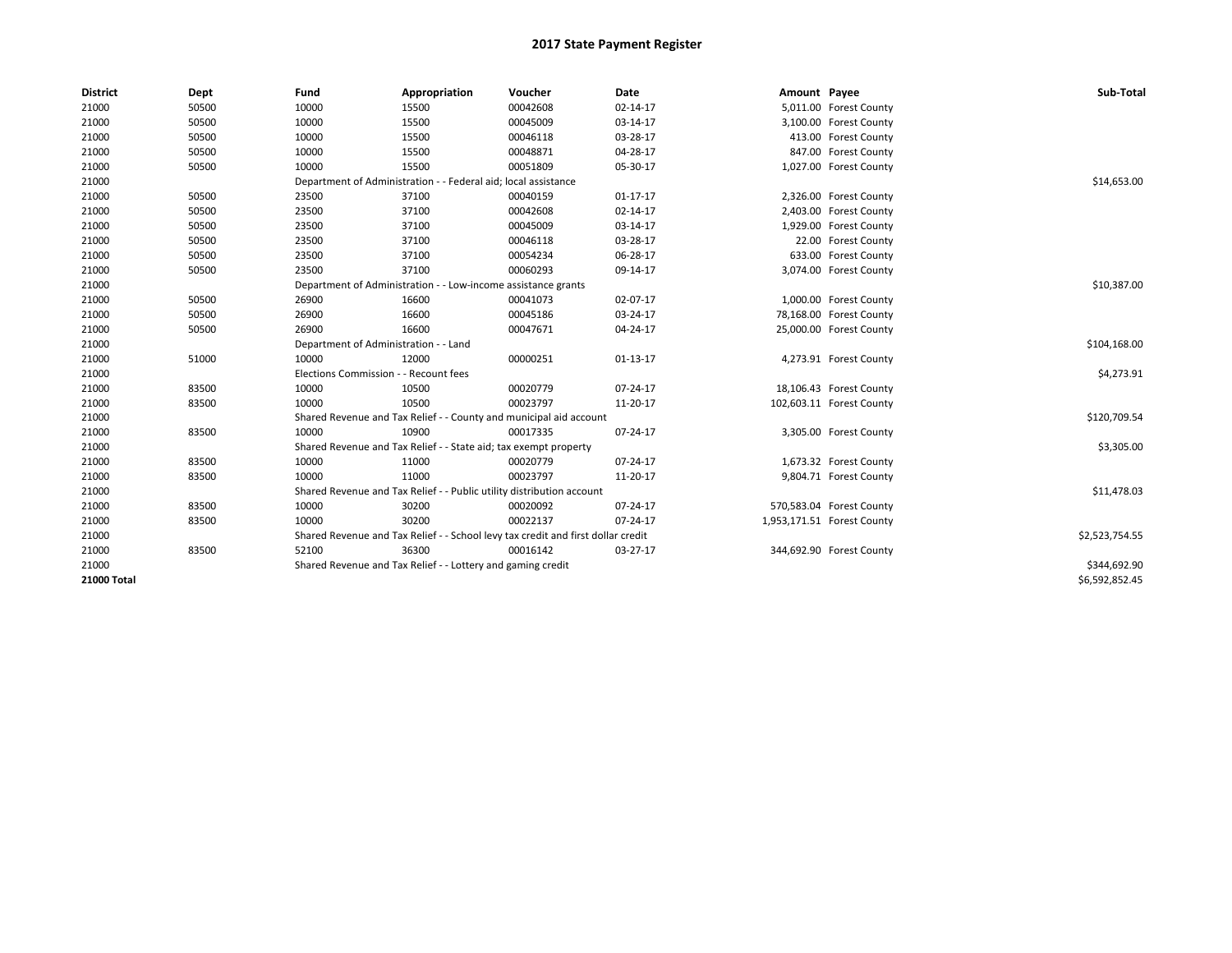| <b>District</b> | Dept  | Fund                                  | Appropriation                                                                    | Voucher  | Date           | Amount Payee |                            | Sub-Total      |
|-----------------|-------|---------------------------------------|----------------------------------------------------------------------------------|----------|----------------|--------------|----------------------------|----------------|
| 21000           | 50500 | 10000                                 | 15500                                                                            | 00042608 | 02-14-17       |              | 5,011.00 Forest County     |                |
| 21000           | 50500 | 10000                                 | 15500                                                                            | 00045009 | 03-14-17       |              | 3,100.00 Forest County     |                |
| 21000           | 50500 | 10000                                 | 15500                                                                            | 00046118 | 03-28-17       |              | 413.00 Forest County       |                |
| 21000           | 50500 | 10000                                 | 15500                                                                            | 00048871 | 04-28-17       |              | 847.00 Forest County       |                |
| 21000           | 50500 | 10000                                 | 15500                                                                            | 00051809 | 05-30-17       |              | 1,027.00 Forest County     |                |
| 21000           |       |                                       | Department of Administration - - Federal aid; local assistance                   |          |                |              |                            | \$14,653.00    |
| 21000           | 50500 | 23500                                 | 37100                                                                            | 00040159 | $01 - 17 - 17$ |              | 2,326.00 Forest County     |                |
| 21000           | 50500 | 23500                                 | 37100                                                                            | 00042608 | 02-14-17       |              | 2,403.00 Forest County     |                |
| 21000           | 50500 | 23500                                 | 37100                                                                            | 00045009 | 03-14-17       |              | 1,929.00 Forest County     |                |
| 21000           | 50500 | 23500                                 | 37100                                                                            | 00046118 | 03-28-17       |              | 22.00 Forest County        |                |
| 21000           | 50500 | 23500                                 | 37100                                                                            | 00054234 | 06-28-17       |              | 633.00 Forest County       |                |
| 21000           | 50500 | 23500                                 | 37100                                                                            | 00060293 | 09-14-17       |              | 3,074.00 Forest County     |                |
| 21000           |       |                                       | Department of Administration - - Low-income assistance grants                    |          |                |              |                            | \$10,387.00    |
| 21000           | 50500 | 26900                                 | 16600                                                                            | 00041073 | 02-07-17       |              | 1,000.00 Forest County     |                |
| 21000           | 50500 | 26900                                 | 16600                                                                            | 00045186 | 03-24-17       |              | 78,168.00 Forest County    |                |
| 21000           | 50500 | 26900                                 | 16600                                                                            | 00047671 | 04-24-17       |              | 25,000.00 Forest County    |                |
| 21000           |       | Department of Administration - - Land |                                                                                  |          |                |              |                            | \$104,168.00   |
| 21000           | 51000 | 10000                                 | 12000                                                                            | 00000251 | $01-13-17$     |              | 4,273.91 Forest County     |                |
| 21000           |       | Elections Commission - - Recount fees |                                                                                  |          |                |              |                            | \$4,273.91     |
| 21000           | 83500 | 10000                                 | 10500                                                                            | 00020779 | 07-24-17       |              | 18,106.43 Forest County    |                |
| 21000           | 83500 | 10000                                 | 10500                                                                            | 00023797 | 11-20-17       |              | 102,603.11 Forest County   |                |
| 21000           |       |                                       | Shared Revenue and Tax Relief - - County and municipal aid account               |          |                |              |                            | \$120,709.54   |
| 21000           | 83500 | 10000                                 | 10900                                                                            | 00017335 | 07-24-17       |              | 3,305.00 Forest County     |                |
| 21000           |       |                                       | Shared Revenue and Tax Relief - - State aid; tax exempt property                 |          |                |              |                            | \$3,305.00     |
| 21000           | 83500 | 10000                                 | 11000                                                                            | 00020779 | 07-24-17       |              | 1,673.32 Forest County     |                |
| 21000           | 83500 | 10000                                 | 11000                                                                            | 00023797 | 11-20-17       |              | 9,804.71 Forest County     |                |
| 21000           |       |                                       | Shared Revenue and Tax Relief - - Public utility distribution account            |          |                |              |                            | \$11,478.03    |
| 21000           | 83500 | 10000                                 | 30200                                                                            | 00020092 | 07-24-17       |              | 570,583.04 Forest County   |                |
| 21000           | 83500 | 10000                                 | 30200                                                                            | 00022137 | 07-24-17       |              | 1,953,171.51 Forest County |                |
| 21000           |       |                                       | Shared Revenue and Tax Relief - - School levy tax credit and first dollar credit |          |                |              |                            | \$2,523,754.55 |
| 21000           | 83500 | 52100                                 | 36300                                                                            | 00016142 | 03-27-17       |              | 344,692.90 Forest County   |                |
| 21000           |       |                                       | Shared Revenue and Tax Relief - - Lottery and gaming credit                      |          |                |              |                            | \$344,692.90   |
| 21000 Total     |       |                                       |                                                                                  |          |                |              |                            | \$6,592,852.45 |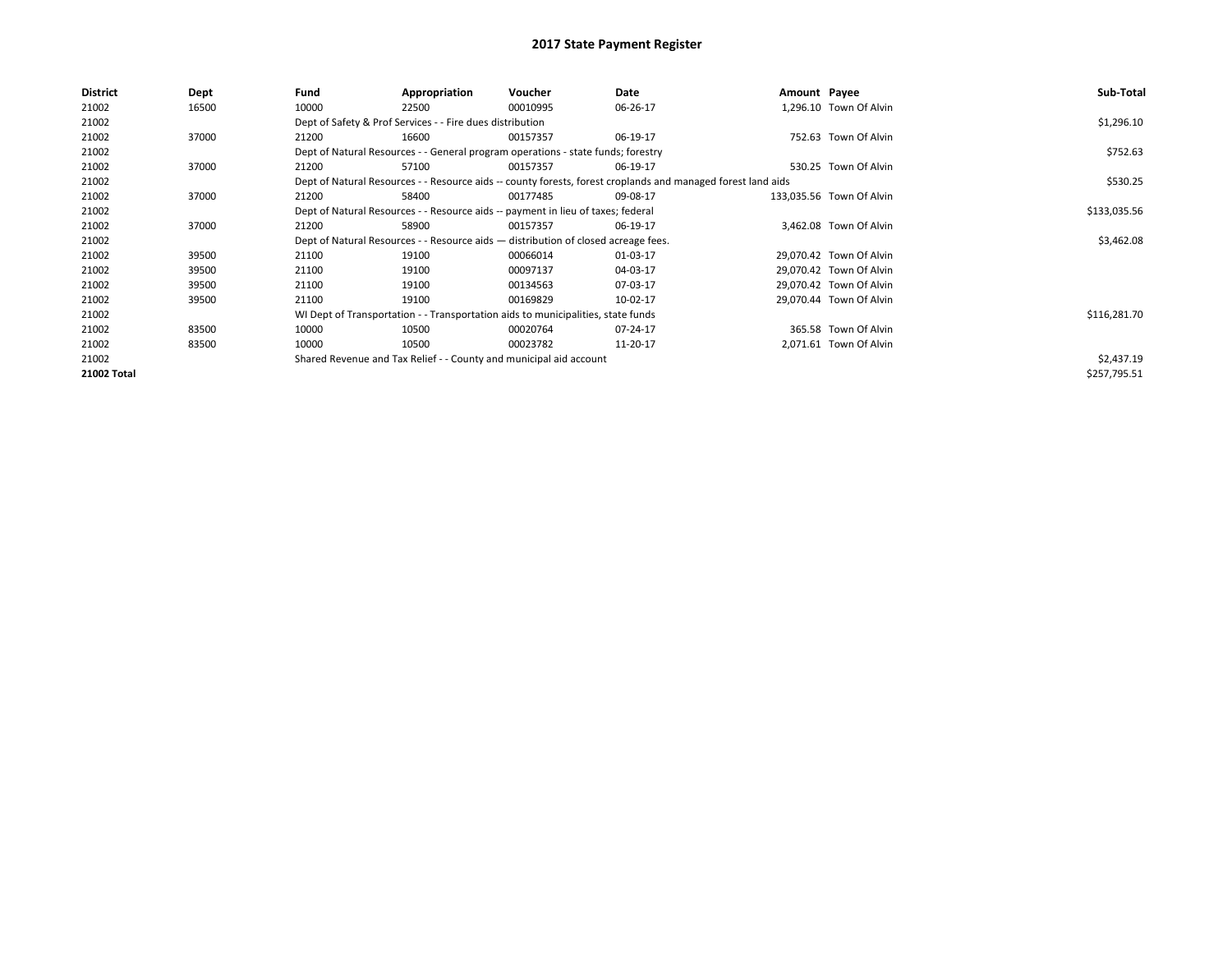| <b>District</b> | Dept  | Fund  | Appropriation                                                                      | Voucher  | Date                                                                                                         | Amount Payee |                          | Sub-Total    |
|-----------------|-------|-------|------------------------------------------------------------------------------------|----------|--------------------------------------------------------------------------------------------------------------|--------------|--------------------------|--------------|
| 21002           | 16500 | 10000 | 22500                                                                              | 00010995 | 06-26-17                                                                                                     |              | 1,296.10 Town Of Alvin   |              |
| 21002           |       |       | Dept of Safety & Prof Services - - Fire dues distribution                          |          |                                                                                                              |              |                          | \$1,296.10   |
| 21002           | 37000 | 21200 | 16600                                                                              | 00157357 | 06-19-17                                                                                                     |              | 752.63 Town Of Alvin     |              |
| 21002           |       |       | Dept of Natural Resources - - General program operations - state funds; forestry   |          |                                                                                                              |              |                          | \$752.63     |
| 21002           | 37000 | 21200 | 57100                                                                              | 00157357 | 06-19-17                                                                                                     |              | 530.25 Town Of Alvin     |              |
| 21002           |       |       |                                                                                    |          | Dept of Natural Resources - - Resource aids -- county forests, forest croplands and managed forest land aids |              |                          | \$530.25     |
| 21002           | 37000 | 21200 | 58400                                                                              | 00177485 | 09-08-17                                                                                                     |              | 133,035.56 Town Of Alvin |              |
| 21002           |       |       | Dept of Natural Resources - - Resource aids -- payment in lieu of taxes; federal   |          |                                                                                                              |              |                          | \$133,035.56 |
| 21002           | 37000 | 21200 | 58900                                                                              | 00157357 | 06-19-17                                                                                                     |              | 3,462.08 Town Of Alvin   |              |
| 21002           |       |       | Dept of Natural Resources - - Resource aids - distribution of closed acreage fees. |          |                                                                                                              |              |                          | \$3,462.08   |
| 21002           | 39500 | 21100 | 19100                                                                              | 00066014 | 01-03-17                                                                                                     |              | 29,070.42 Town Of Alvin  |              |
| 21002           | 39500 | 21100 | 19100                                                                              | 00097137 | 04-03-17                                                                                                     |              | 29,070.42 Town Of Alvin  |              |
| 21002           | 39500 | 21100 | 19100                                                                              | 00134563 | 07-03-17                                                                                                     |              | 29.070.42 Town Of Alvin  |              |
| 21002           | 39500 | 21100 | 19100                                                                              | 00169829 | 10-02-17                                                                                                     |              | 29,070.44 Town Of Alvin  |              |
| 21002           |       |       | WI Dept of Transportation - - Transportation aids to municipalities, state funds   |          |                                                                                                              |              |                          | \$116,281.70 |
| 21002           | 83500 | 10000 | 10500                                                                              | 00020764 | 07-24-17                                                                                                     |              | 365.58 Town Of Alvin     |              |
| 21002           | 83500 | 10000 | 10500                                                                              | 00023782 | 11-20-17                                                                                                     |              | 2,071.61 Town Of Alvin   |              |
| 21002           |       |       | Shared Revenue and Tax Relief - - County and municipal aid account                 |          |                                                                                                              |              |                          | \$2,437.19   |
| 21002 Total     |       |       |                                                                                    |          |                                                                                                              |              |                          | \$257,795.51 |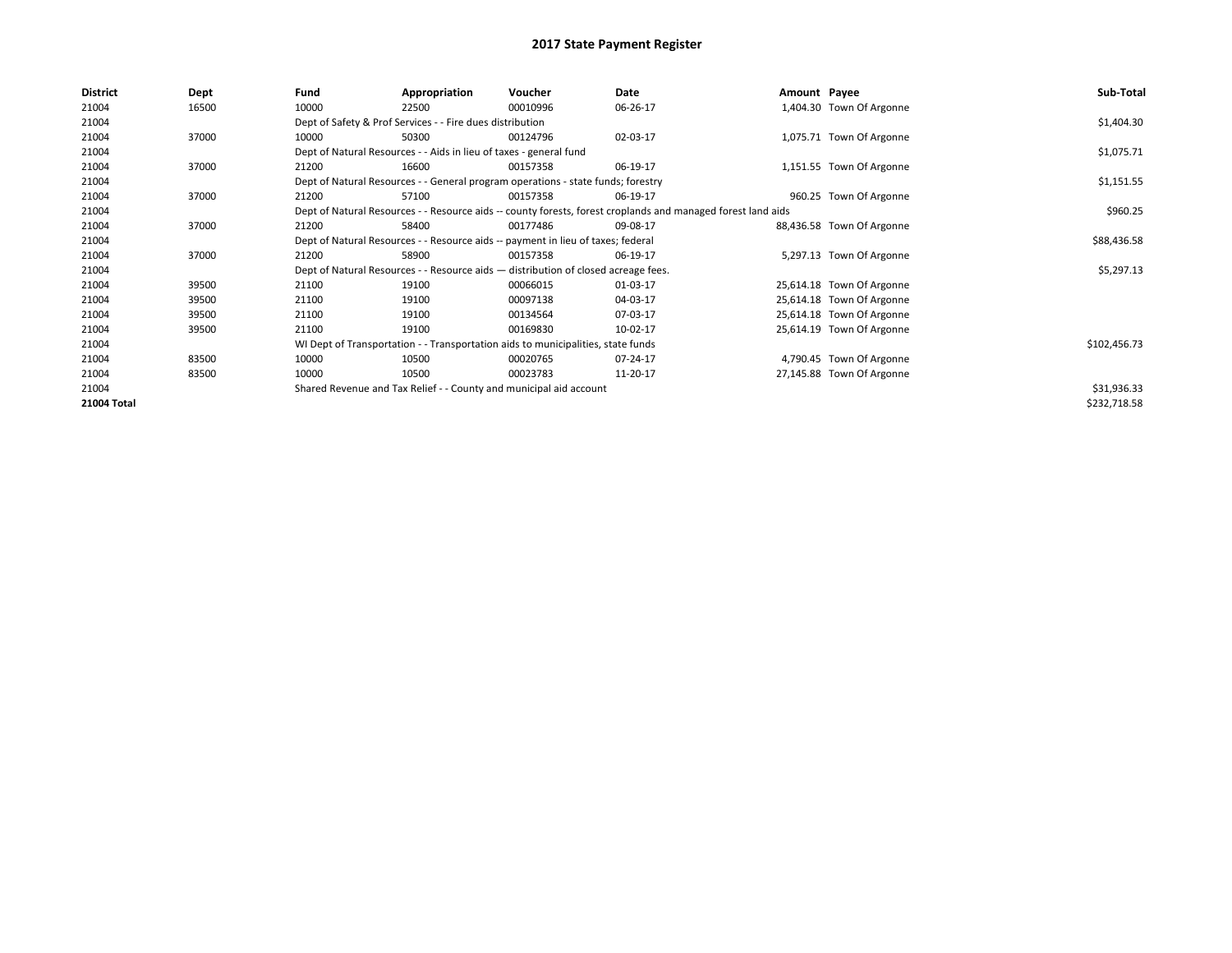| <b>District</b> | Dept  | Fund  | Appropriation                                                                      | Voucher  | Date                                                                                                         | Amount Payee |                           | Sub-Total    |  |  |  |
|-----------------|-------|-------|------------------------------------------------------------------------------------|----------|--------------------------------------------------------------------------------------------------------------|--------------|---------------------------|--------------|--|--|--|
| 21004           | 16500 | 10000 | 22500                                                                              | 00010996 | 06-26-17                                                                                                     |              | 1,404.30 Town Of Argonne  |              |  |  |  |
| 21004           |       |       | Dept of Safety & Prof Services - - Fire dues distribution                          |          |                                                                                                              |              |                           | \$1,404.30   |  |  |  |
| 21004           | 37000 | 10000 | 50300                                                                              | 00124796 | 02-03-17                                                                                                     |              | 1,075.71 Town Of Argonne  |              |  |  |  |
| 21004           |       |       | Dept of Natural Resources - - Aids in lieu of taxes - general fund                 |          |                                                                                                              |              |                           | \$1,075.71   |  |  |  |
| 21004           | 37000 | 21200 | 16600                                                                              | 00157358 | 06-19-17                                                                                                     |              | 1,151.55 Town Of Argonne  |              |  |  |  |
| 21004           |       |       | Dept of Natural Resources - - General program operations - state funds; forestry   |          |                                                                                                              |              |                           |              |  |  |  |
| 21004           | 37000 | 21200 | 57100                                                                              | 00157358 | 06-19-17                                                                                                     |              | 960.25 Town Of Argonne    |              |  |  |  |
| 21004           |       |       |                                                                                    |          | Dept of Natural Resources - - Resource aids -- county forests, forest croplands and managed forest land aids |              |                           | \$960.25     |  |  |  |
| 21004           | 37000 | 21200 | 58400                                                                              | 00177486 | 09-08-17                                                                                                     |              | 88,436.58 Town Of Argonne |              |  |  |  |
| 21004           |       |       | Dept of Natural Resources - - Resource aids -- payment in lieu of taxes; federal   |          |                                                                                                              |              |                           | \$88,436.58  |  |  |  |
| 21004           | 37000 | 21200 | 58900                                                                              | 00157358 | 06-19-17                                                                                                     |              | 5,297.13 Town Of Argonne  |              |  |  |  |
| 21004           |       |       | Dept of Natural Resources - - Resource aids - distribution of closed acreage fees. |          |                                                                                                              |              |                           | \$5,297.13   |  |  |  |
| 21004           | 39500 | 21100 | 19100                                                                              | 00066015 | 01-03-17                                                                                                     |              | 25,614.18 Town Of Argonne |              |  |  |  |
| 21004           | 39500 | 21100 | 19100                                                                              | 00097138 | 04-03-17                                                                                                     |              | 25,614.18 Town Of Argonne |              |  |  |  |
| 21004           | 39500 | 21100 | 19100                                                                              | 00134564 | 07-03-17                                                                                                     |              | 25,614.18 Town Of Argonne |              |  |  |  |
| 21004           | 39500 | 21100 | 19100                                                                              | 00169830 | 10-02-17                                                                                                     |              | 25,614.19 Town Of Argonne |              |  |  |  |
| 21004           |       |       | WI Dept of Transportation - - Transportation aids to municipalities, state funds   |          |                                                                                                              |              |                           | \$102,456.73 |  |  |  |
| 21004           | 83500 | 10000 | 10500                                                                              | 00020765 | 07-24-17                                                                                                     |              | 4,790.45 Town Of Argonne  |              |  |  |  |
| 21004           | 83500 | 10000 | 10500                                                                              | 00023783 | 11-20-17                                                                                                     |              | 27,145.88 Town Of Argonne |              |  |  |  |
| 21004           |       |       | Shared Revenue and Tax Relief - - County and municipal aid account                 |          |                                                                                                              |              |                           | \$31,936.33  |  |  |  |
| 21004 Total     |       |       |                                                                                    |          |                                                                                                              |              |                           | \$232,718.58 |  |  |  |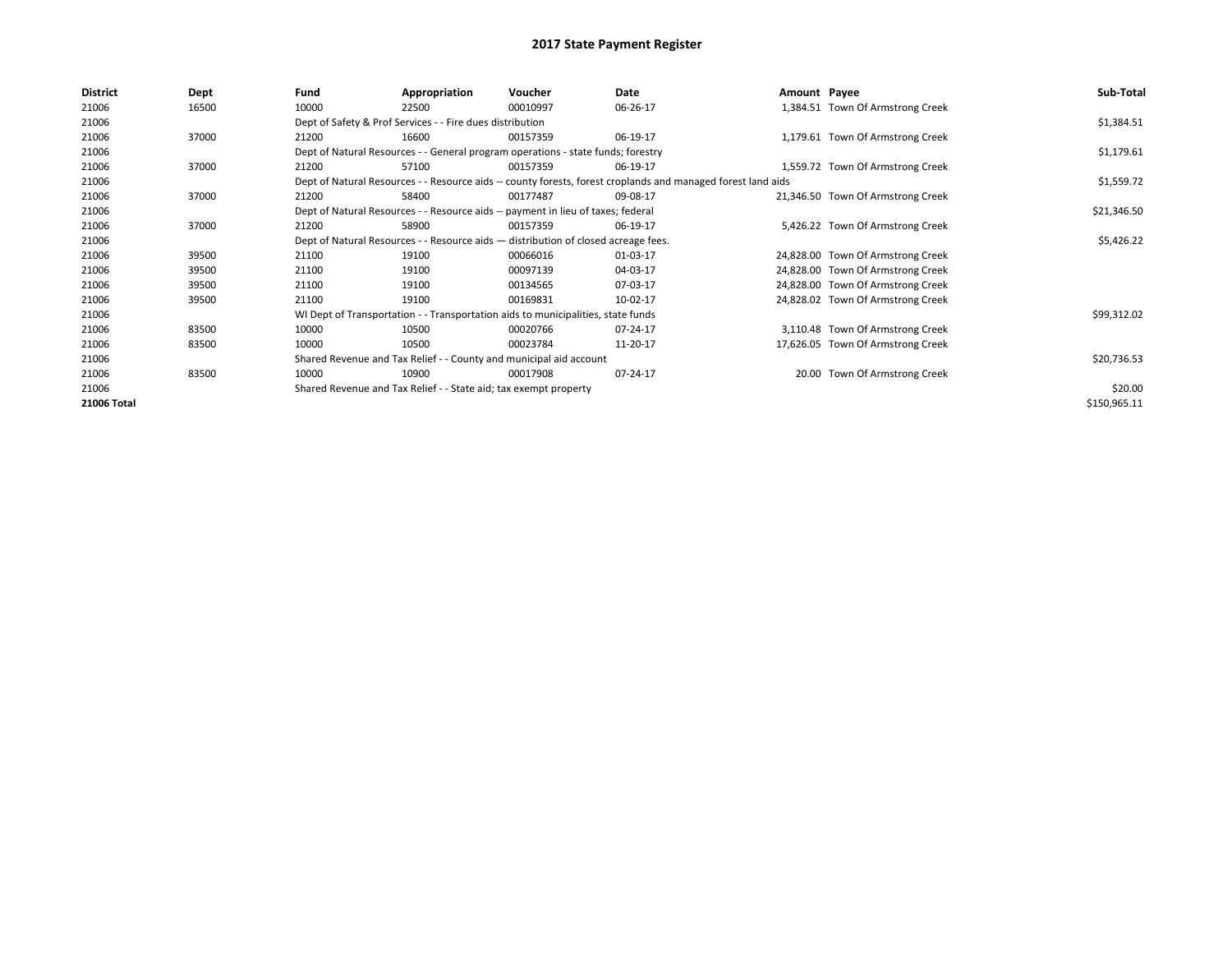| Sub-Total    |
|--------------|
|              |
| \$1,384.51   |
|              |
| \$1,179.61   |
|              |
| \$1,559.72   |
|              |
| \$21,346.50  |
|              |
| \$5,426.22   |
|              |
|              |
|              |
|              |
| \$99,312.02  |
|              |
|              |
| \$20,736.53  |
|              |
| \$20.00      |
| \$150,965.11 |
|              |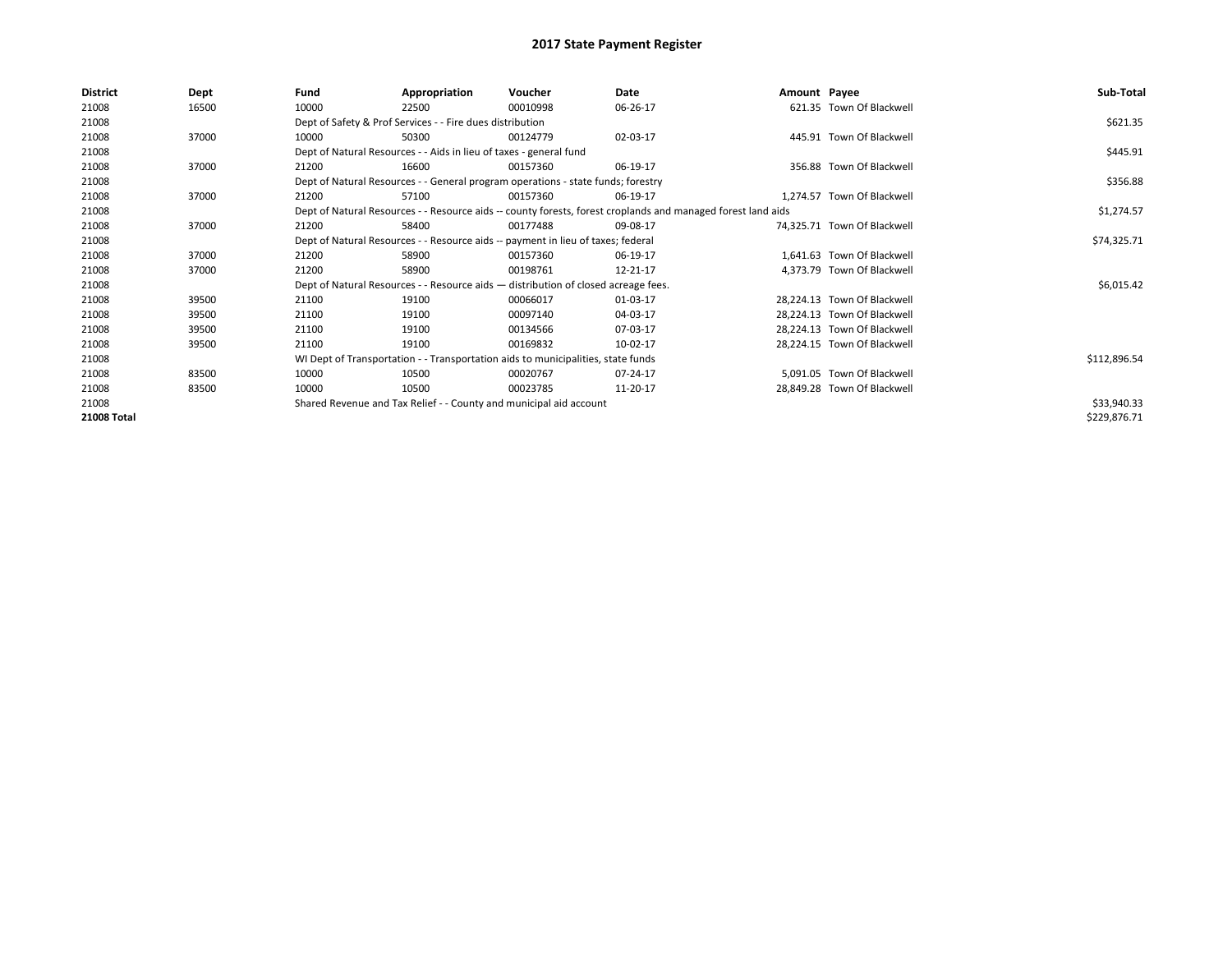| District    | Dept  | Fund  | Appropriation                                                                                                | Voucher  | Date     | Amount Payee |                             | Sub-Total    |  |  |  |
|-------------|-------|-------|--------------------------------------------------------------------------------------------------------------|----------|----------|--------------|-----------------------------|--------------|--|--|--|
| 21008       | 16500 | 10000 | 22500                                                                                                        | 00010998 | 06-26-17 |              | 621.35 Town Of Blackwell    |              |  |  |  |
| 21008       |       |       | Dept of Safety & Prof Services - - Fire dues distribution                                                    |          |          |              |                             | \$621.35     |  |  |  |
| 21008       | 37000 | 10000 | 50300                                                                                                        | 00124779 | 02-03-17 |              | 445.91 Town Of Blackwell    |              |  |  |  |
| 21008       |       |       | Dept of Natural Resources - - Aids in lieu of taxes - general fund                                           |          |          |              |                             | \$445.91     |  |  |  |
| 21008       | 37000 | 21200 | 16600                                                                                                        | 00157360 | 06-19-17 |              | 356.88 Town Of Blackwell    |              |  |  |  |
| 21008       |       |       | Dept of Natural Resources - - General program operations - state funds; forestry                             |          |          |              |                             | \$356.88     |  |  |  |
| 21008       | 37000 | 21200 | 57100                                                                                                        | 00157360 | 06-19-17 |              | 1,274.57 Town Of Blackwell  |              |  |  |  |
| 21008       |       |       | Dept of Natural Resources - - Resource aids -- county forests, forest croplands and managed forest land aids |          |          |              |                             |              |  |  |  |
| 21008       | 37000 | 21200 | 58400                                                                                                        | 00177488 | 09-08-17 |              | 74,325.71 Town Of Blackwell |              |  |  |  |
| 21008       |       |       | Dept of Natural Resources - - Resource aids -- payment in lieu of taxes; federal                             |          |          |              |                             | \$74,325.71  |  |  |  |
| 21008       | 37000 | 21200 | 58900                                                                                                        | 00157360 | 06-19-17 |              | 1,641.63 Town Of Blackwell  |              |  |  |  |
| 21008       | 37000 | 21200 | 58900                                                                                                        | 00198761 | 12-21-17 |              | 4,373.79 Town Of Blackwell  |              |  |  |  |
| 21008       |       |       | Dept of Natural Resources - - Resource aids - distribution of closed acreage fees.                           |          |          |              |                             | \$6,015.42   |  |  |  |
| 21008       | 39500 | 21100 | 19100                                                                                                        | 00066017 | 01-03-17 |              | 28,224.13 Town Of Blackwell |              |  |  |  |
| 21008       | 39500 | 21100 | 19100                                                                                                        | 00097140 | 04-03-17 |              | 28,224.13 Town Of Blackwell |              |  |  |  |
| 21008       | 39500 | 21100 | 19100                                                                                                        | 00134566 | 07-03-17 |              | 28,224.13 Town Of Blackwell |              |  |  |  |
| 21008       | 39500 | 21100 | 19100                                                                                                        | 00169832 | 10-02-17 |              | 28,224.15 Town Of Blackwell |              |  |  |  |
| 21008       |       |       | WI Dept of Transportation - - Transportation aids to municipalities, state funds                             |          |          |              |                             | \$112,896.54 |  |  |  |
| 21008       | 83500 | 10000 | 10500                                                                                                        | 00020767 | 07-24-17 |              | 5,091.05 Town Of Blackwell  |              |  |  |  |
| 21008       | 83500 | 10000 | 10500                                                                                                        | 00023785 | 11-20-17 |              | 28,849.28 Town Of Blackwell |              |  |  |  |
| 21008       |       |       | Shared Revenue and Tax Relief - - County and municipal aid account                                           |          |          |              |                             | \$33,940.33  |  |  |  |
| 21008 Total |       |       |                                                                                                              |          |          |              |                             | \$229,876.71 |  |  |  |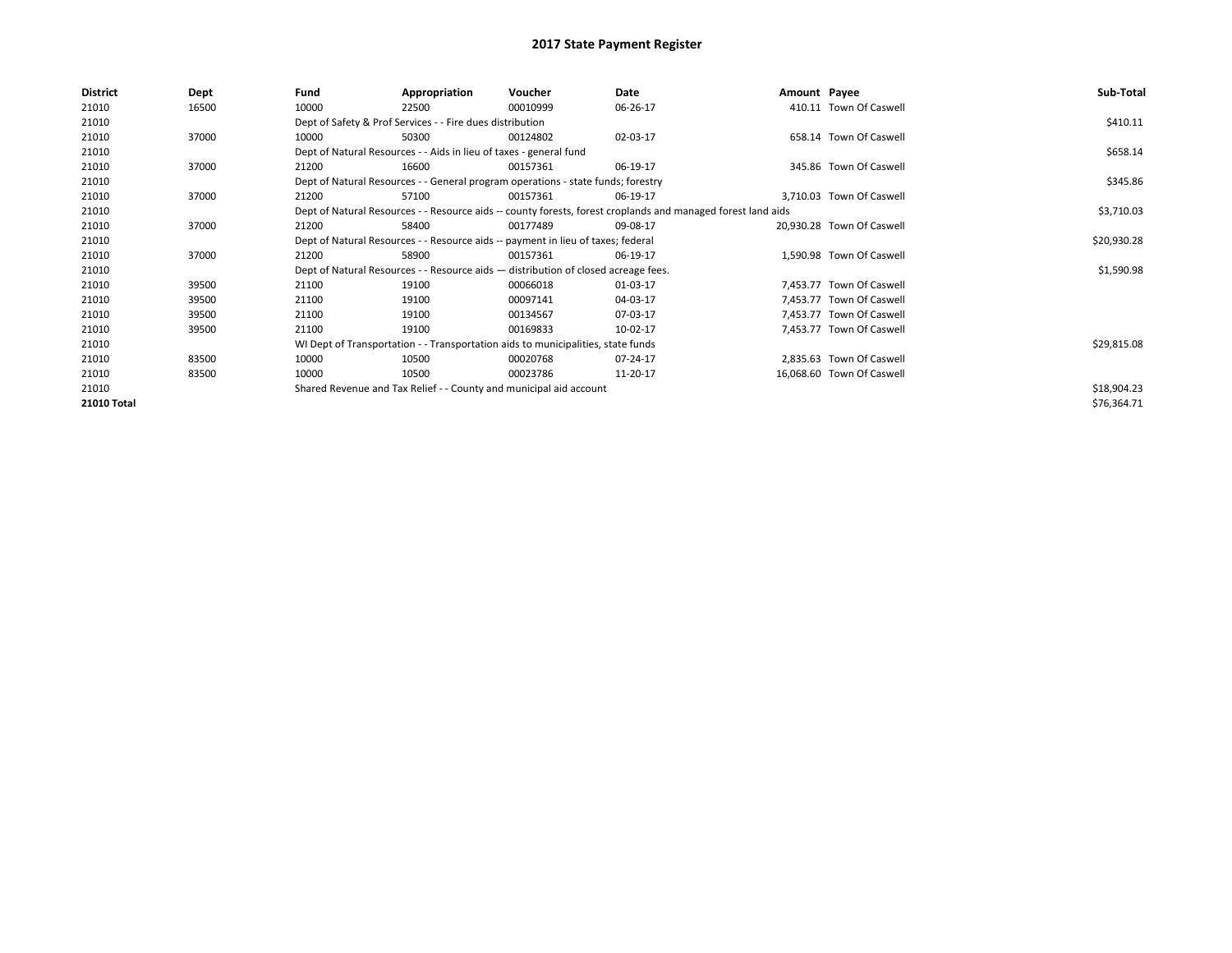| <b>District</b> | Dept  | Fund  | Appropriation                                                                      | Voucher  | Date                                                                                                         | Amount Payee |                           | Sub-Total   |
|-----------------|-------|-------|------------------------------------------------------------------------------------|----------|--------------------------------------------------------------------------------------------------------------|--------------|---------------------------|-------------|
| 21010           | 16500 | 10000 | 22500                                                                              | 00010999 | 06-26-17                                                                                                     |              | 410.11 Town Of Caswell    |             |
| 21010           |       |       | Dept of Safety & Prof Services - - Fire dues distribution                          |          |                                                                                                              |              |                           | \$410.11    |
| 21010           | 37000 | 10000 | 50300                                                                              | 00124802 | 02-03-17                                                                                                     |              | 658.14 Town Of Caswell    |             |
| 21010           |       |       | Dept of Natural Resources - - Aids in lieu of taxes - general fund                 |          |                                                                                                              |              |                           | \$658.14    |
| 21010           | 37000 | 21200 | 16600                                                                              | 00157361 | 06-19-17                                                                                                     |              | 345.86 Town Of Caswell    |             |
| 21010           |       |       | Dept of Natural Resources - - General program operations - state funds; forestry   |          |                                                                                                              |              |                           | \$345.86    |
| 21010           | 37000 | 21200 | 57100                                                                              | 00157361 | 06-19-17                                                                                                     |              | 3,710.03 Town Of Caswell  |             |
| 21010           |       |       |                                                                                    |          | Dept of Natural Resources - - Resource aids -- county forests, forest croplands and managed forest land aids |              |                           | \$3,710.03  |
| 21010           | 37000 | 21200 | 58400                                                                              | 00177489 | 09-08-17                                                                                                     |              | 20,930.28 Town Of Caswell |             |
| 21010           |       |       | Dept of Natural Resources - - Resource aids -- payment in lieu of taxes; federal   |          |                                                                                                              |              |                           | \$20,930.28 |
| 21010           | 37000 | 21200 | 58900                                                                              | 00157361 | 06-19-17                                                                                                     |              | 1,590.98 Town Of Caswell  |             |
| 21010           |       |       | Dept of Natural Resources - - Resource aids - distribution of closed acreage fees. |          |                                                                                                              |              |                           | \$1,590.98  |
| 21010           | 39500 | 21100 | 19100                                                                              | 00066018 | 01-03-17                                                                                                     |              | 7,453.77 Town Of Caswell  |             |
| 21010           | 39500 | 21100 | 19100                                                                              | 00097141 | 04-03-17                                                                                                     |              | 7,453.77 Town Of Caswell  |             |
| 21010           | 39500 | 21100 | 19100                                                                              | 00134567 | 07-03-17                                                                                                     |              | 7,453.77 Town Of Caswell  |             |
| 21010           | 39500 | 21100 | 19100                                                                              | 00169833 | 10-02-17                                                                                                     |              | 7,453.77 Town Of Caswell  |             |
| 21010           |       |       | WI Dept of Transportation - - Transportation aids to municipalities, state funds   |          |                                                                                                              |              |                           | \$29,815.08 |
| 21010           | 83500 | 10000 | 10500                                                                              | 00020768 | 07-24-17                                                                                                     |              | 2.835.63 Town Of Caswell  |             |
| 21010           | 83500 | 10000 | 10500                                                                              | 00023786 | 11-20-17                                                                                                     |              | 16,068.60 Town Of Caswell |             |
| 21010           |       |       | Shared Revenue and Tax Relief - - County and municipal aid account                 |          |                                                                                                              |              |                           | \$18,904.23 |
| 21010 Total     |       |       |                                                                                    |          |                                                                                                              |              |                           | \$76,364.71 |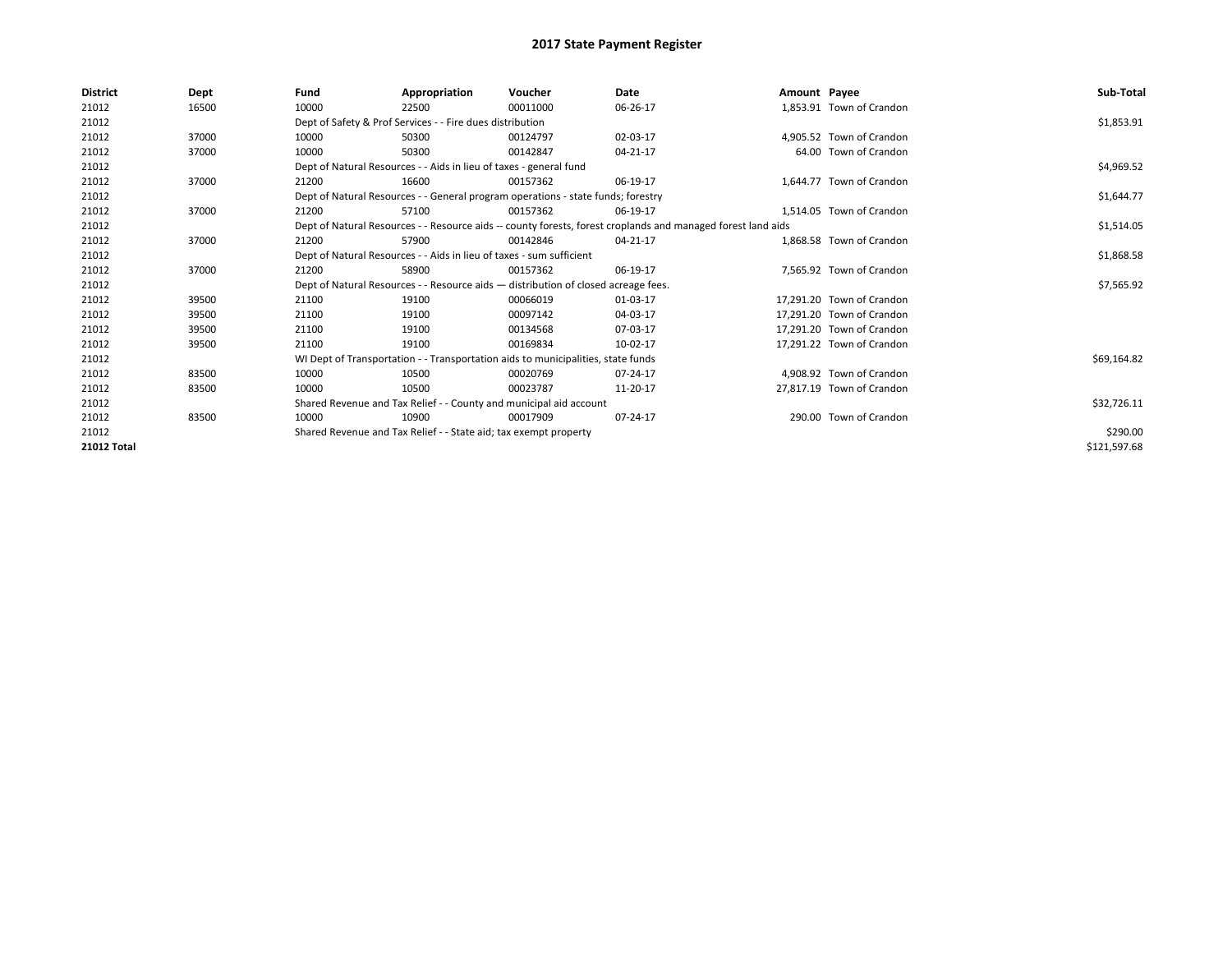| <b>District</b> | Dept  | Fund  | Appropriation                                                                      | Voucher  | Date                                                                                                         | Amount Payee |                           | Sub-Total    |
|-----------------|-------|-------|------------------------------------------------------------------------------------|----------|--------------------------------------------------------------------------------------------------------------|--------------|---------------------------|--------------|
| 21012           | 16500 | 10000 | 22500                                                                              | 00011000 | 06-26-17                                                                                                     |              | 1,853.91 Town of Crandon  |              |
| 21012           |       |       | Dept of Safety & Prof Services - - Fire dues distribution                          |          |                                                                                                              |              |                           | \$1,853.91   |
| 21012           | 37000 | 10000 | 50300                                                                              | 00124797 | 02-03-17                                                                                                     |              | 4.905.52 Town of Crandon  |              |
| 21012           | 37000 | 10000 | 50300                                                                              | 00142847 | 04-21-17                                                                                                     |              | 64.00 Town of Crandon     |              |
| 21012           |       |       | Dept of Natural Resources - - Aids in lieu of taxes - general fund                 |          |                                                                                                              |              |                           | \$4,969.52   |
| 21012           | 37000 | 21200 | 16600                                                                              | 00157362 | 06-19-17                                                                                                     |              | 1.644.77 Town of Crandon  |              |
| 21012           |       |       | Dept of Natural Resources - - General program operations - state funds; forestry   |          |                                                                                                              |              |                           | \$1,644.77   |
| 21012           | 37000 | 21200 | 57100                                                                              | 00157362 | 06-19-17                                                                                                     |              | 1,514.05 Town of Crandon  |              |
| 21012           |       |       |                                                                                    |          | Dept of Natural Resources - - Resource aids -- county forests, forest croplands and managed forest land aids |              |                           | \$1,514.05   |
| 21012           | 37000 | 21200 | 57900                                                                              | 00142846 | 04-21-17                                                                                                     |              | 1.868.58 Town of Crandon  |              |
| 21012           |       |       | Dept of Natural Resources - - Aids in lieu of taxes - sum sufficient               |          |                                                                                                              |              |                           | \$1,868.58   |
| 21012           | 37000 | 21200 | 58900                                                                              | 00157362 | 06-19-17                                                                                                     |              | 7.565.92 Town of Crandon  |              |
| 21012           |       |       | Dept of Natural Resources - - Resource aids - distribution of closed acreage fees. |          |                                                                                                              |              |                           | \$7,565.92   |
| 21012           | 39500 | 21100 | 19100                                                                              | 00066019 | 01-03-17                                                                                                     |              | 17.291.20 Town of Crandon |              |
| 21012           | 39500 | 21100 | 19100                                                                              | 00097142 | 04-03-17                                                                                                     |              | 17,291.20 Town of Crandon |              |
| 21012           | 39500 | 21100 | 19100                                                                              | 00134568 | 07-03-17                                                                                                     |              | 17,291.20 Town of Crandon |              |
| 21012           | 39500 | 21100 | 19100                                                                              | 00169834 | 10-02-17                                                                                                     |              | 17.291.22 Town of Crandon |              |
| 21012           |       |       | WI Dept of Transportation - - Transportation aids to municipalities, state funds   |          |                                                                                                              |              |                           | \$69,164.82  |
| 21012           | 83500 | 10000 | 10500                                                                              | 00020769 | 07-24-17                                                                                                     |              | 4.908.92 Town of Crandon  |              |
| 21012           | 83500 | 10000 | 10500                                                                              | 00023787 | 11-20-17                                                                                                     |              | 27,817.19 Town of Crandon |              |
| 21012           |       |       | Shared Revenue and Tax Relief - - County and municipal aid account                 |          |                                                                                                              |              |                           | \$32,726.11  |
| 21012           | 83500 | 10000 | 10900                                                                              | 00017909 | 07-24-17                                                                                                     |              | 290.00 Town of Crandon    |              |
| 21012           |       |       | Shared Revenue and Tax Relief - - State aid; tax exempt property                   |          |                                                                                                              |              |                           | \$290.00     |
| 21012 Total     |       |       |                                                                                    |          |                                                                                                              |              |                           | \$121,597.68 |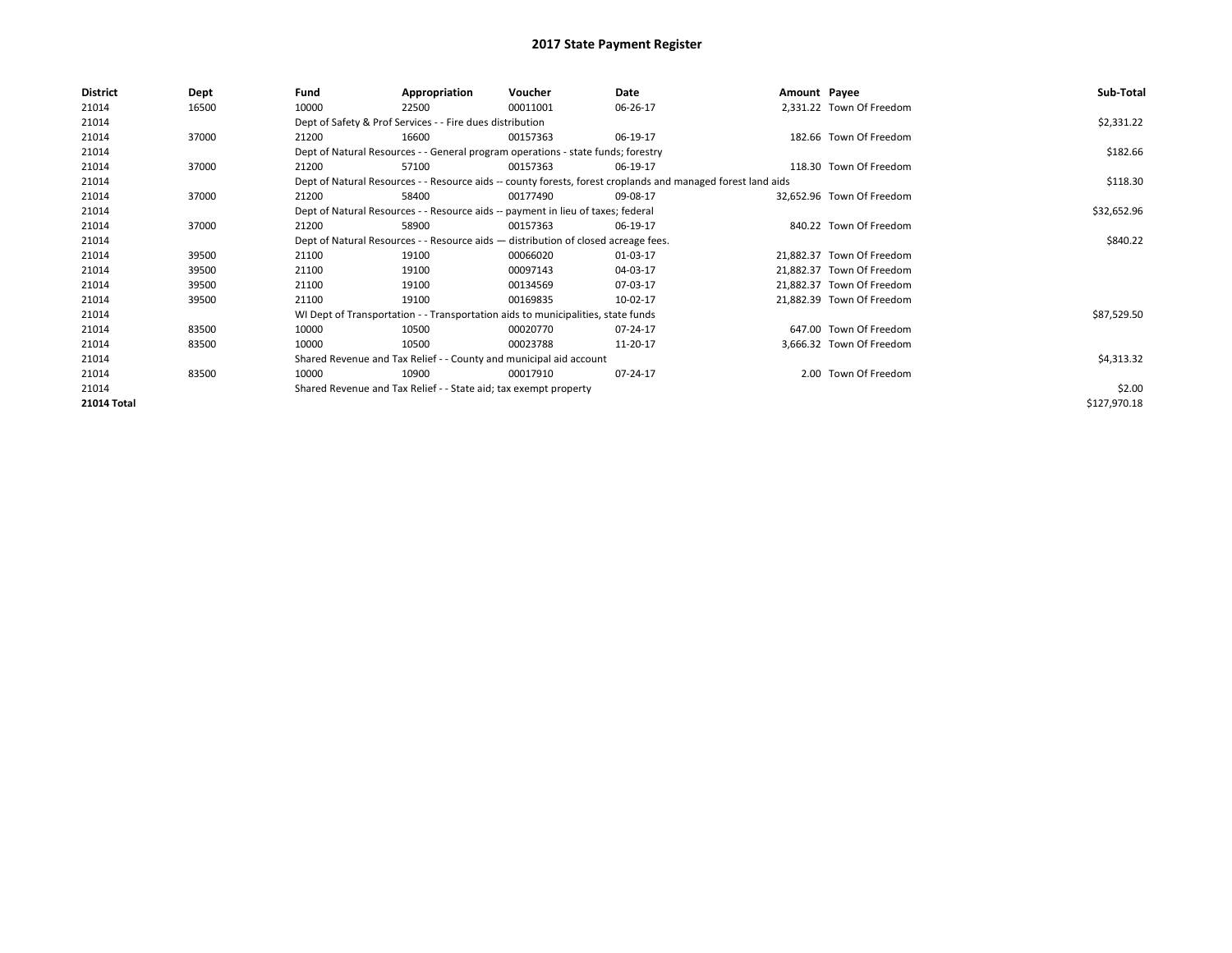| \$2,331.22   |
|--------------|
|              |
|              |
|              |
| \$182.66     |
|              |
| \$118.30     |
|              |
| \$32,652.96  |
|              |
| \$840.22     |
|              |
|              |
|              |
|              |
| \$87,529.50  |
|              |
|              |
| \$4,313.32   |
|              |
| \$2.00       |
| \$127,970.18 |
|              |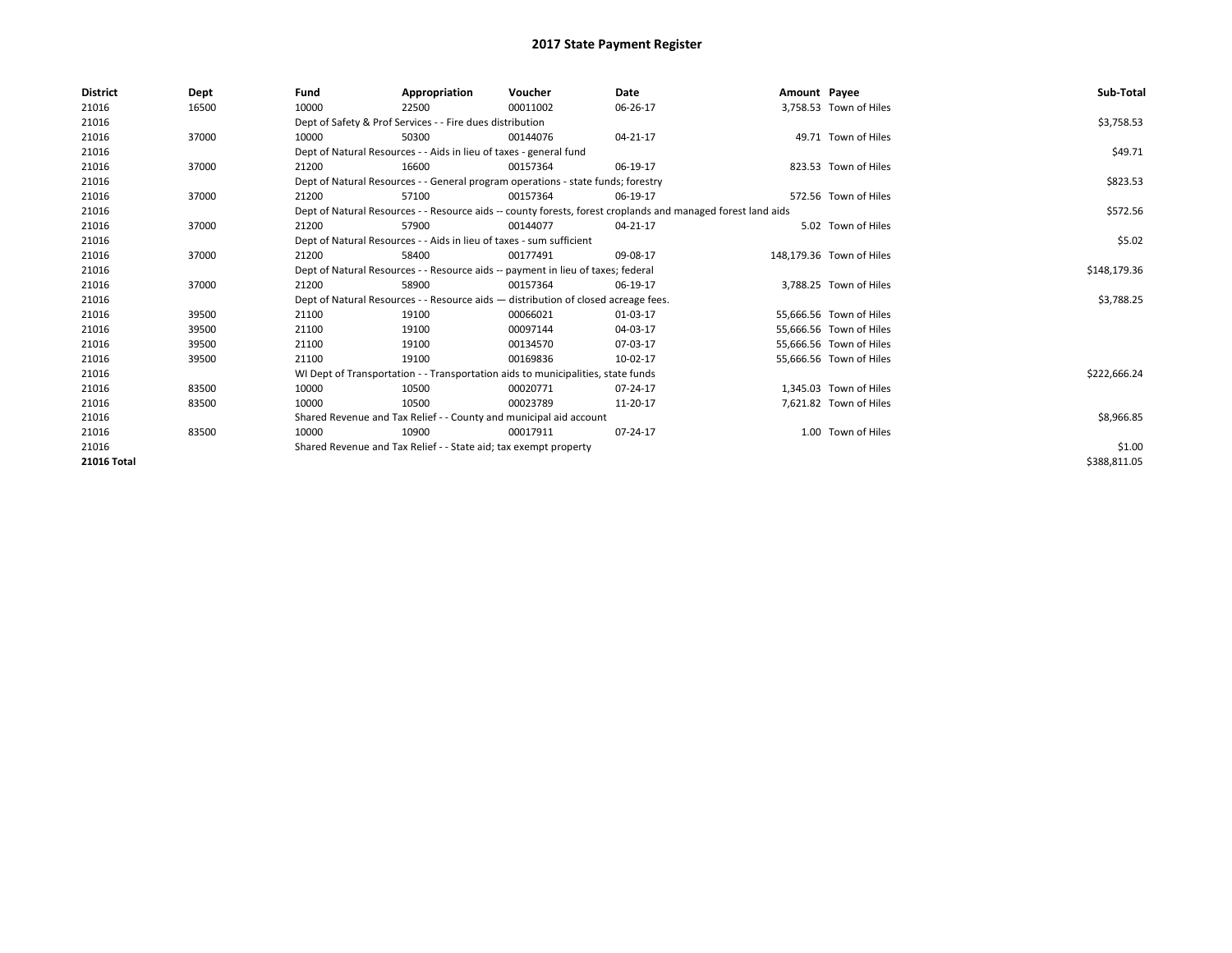| <b>District</b> | Dept  | Fund  | Appropriation                                                                      | Voucher  | Date                                                                                                         | Amount Payee |                          | Sub-Total    |
|-----------------|-------|-------|------------------------------------------------------------------------------------|----------|--------------------------------------------------------------------------------------------------------------|--------------|--------------------------|--------------|
| 21016           | 16500 | 10000 | 22500                                                                              | 00011002 | 06-26-17                                                                                                     |              | 3,758.53 Town of Hiles   |              |
| 21016           |       |       | Dept of Safety & Prof Services - - Fire dues distribution                          |          |                                                                                                              |              |                          | \$3,758.53   |
| 21016           | 37000 | 10000 | 50300                                                                              | 00144076 | 04-21-17                                                                                                     |              | 49.71 Town of Hiles      |              |
| 21016           |       |       | Dept of Natural Resources - - Aids in lieu of taxes - general fund                 |          |                                                                                                              |              |                          | \$49.71      |
| 21016           | 37000 | 21200 | 16600                                                                              | 00157364 | 06-19-17                                                                                                     |              | 823.53 Town of Hiles     |              |
| 21016           |       |       | Dept of Natural Resources - - General program operations - state funds; forestry   |          |                                                                                                              |              |                          | \$823.53     |
| 21016           | 37000 | 21200 | 57100                                                                              | 00157364 | 06-19-17                                                                                                     |              | 572.56 Town of Hiles     |              |
| 21016           |       |       |                                                                                    |          | Dept of Natural Resources - - Resource aids -- county forests, forest croplands and managed forest land aids |              |                          | \$572.56     |
| 21016           | 37000 | 21200 | 57900                                                                              | 00144077 | 04-21-17                                                                                                     |              | 5.02 Town of Hiles       |              |
| 21016           |       |       | Dept of Natural Resources - - Aids in lieu of taxes - sum sufficient               |          |                                                                                                              |              |                          | \$5.02       |
| 21016           | 37000 | 21200 | 58400                                                                              | 00177491 | 09-08-17                                                                                                     |              | 148,179.36 Town of Hiles |              |
| 21016           |       |       | Dept of Natural Resources - - Resource aids -- payment in lieu of taxes; federal   |          |                                                                                                              |              |                          | \$148,179.36 |
| 21016           | 37000 | 21200 | 58900                                                                              | 00157364 | 06-19-17                                                                                                     |              | 3,788.25 Town of Hiles   |              |
| 21016           |       |       | Dept of Natural Resources - - Resource aids - distribution of closed acreage fees. |          |                                                                                                              |              |                          | \$3,788.25   |
| 21016           | 39500 | 21100 | 19100                                                                              | 00066021 | 01-03-17                                                                                                     |              | 55,666.56 Town of Hiles  |              |
| 21016           | 39500 | 21100 | 19100                                                                              | 00097144 | 04-03-17                                                                                                     |              | 55,666.56 Town of Hiles  |              |
| 21016           | 39500 | 21100 | 19100                                                                              | 00134570 | 07-03-17                                                                                                     |              | 55,666.56 Town of Hiles  |              |
| 21016           | 39500 | 21100 | 19100                                                                              | 00169836 | 10-02-17                                                                                                     |              | 55,666.56 Town of Hiles  |              |
| 21016           |       |       | WI Dept of Transportation - - Transportation aids to municipalities, state funds   |          |                                                                                                              |              |                          | \$222,666.24 |
| 21016           | 83500 | 10000 | 10500                                                                              | 00020771 | 07-24-17                                                                                                     |              | 1,345.03 Town of Hiles   |              |
| 21016           | 83500 | 10000 | 10500                                                                              | 00023789 | 11-20-17                                                                                                     |              | 7,621.82 Town of Hiles   |              |
| 21016           |       |       | Shared Revenue and Tax Relief - - County and municipal aid account                 |          |                                                                                                              |              |                          | \$8,966.85   |
| 21016           | 83500 | 10000 | 10900                                                                              | 00017911 | 07-24-17                                                                                                     |              | 1.00 Town of Hiles       |              |
| 21016           |       |       | Shared Revenue and Tax Relief - - State aid; tax exempt property                   |          |                                                                                                              |              |                          | \$1.00       |
| 21016 Total     |       |       |                                                                                    |          |                                                                                                              |              |                          | \$388,811.05 |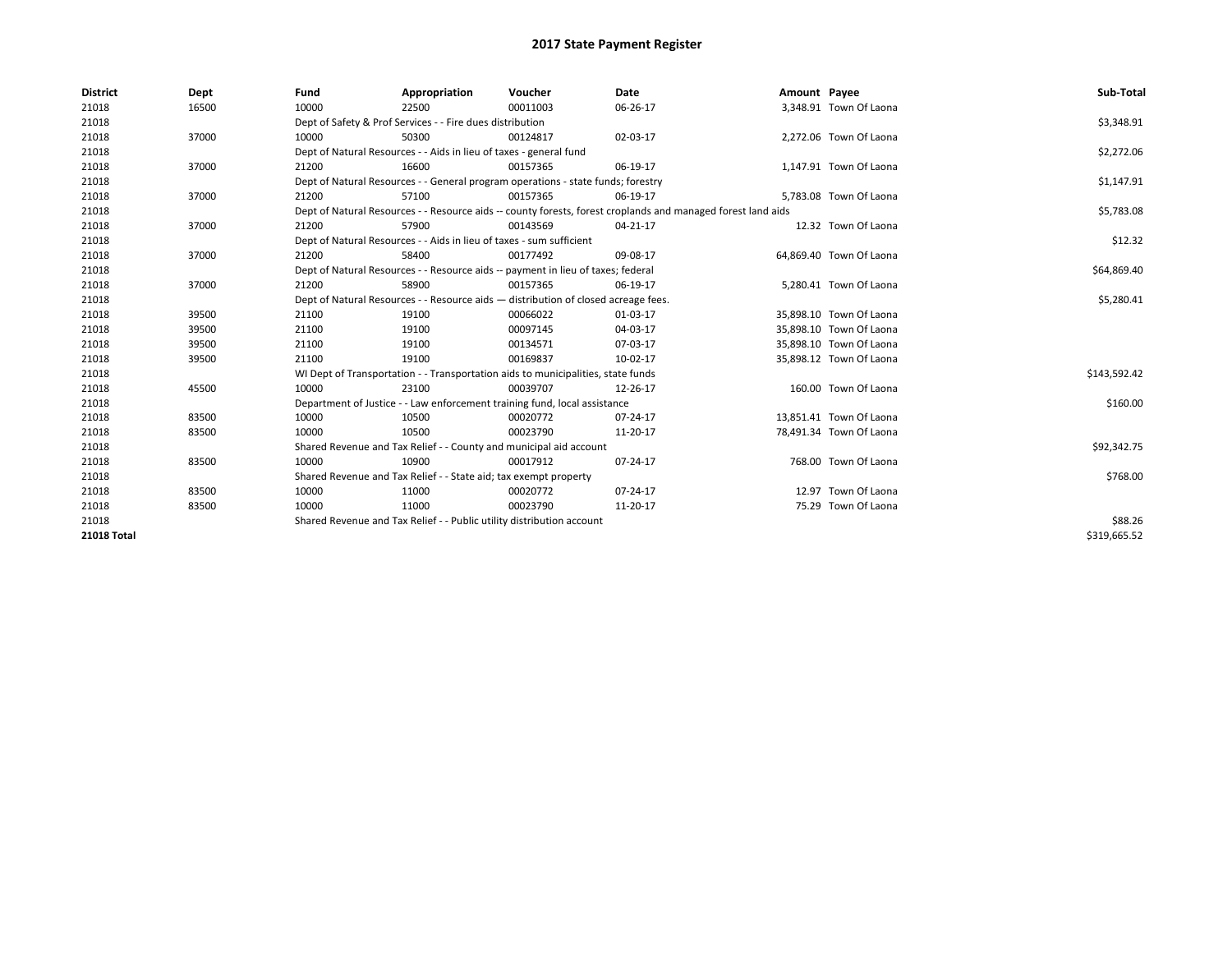| <b>District</b> | Dept  | Fund                                                             | Appropriation                                                                      | Voucher    | Date                                                                                                         | Amount Payee |                         | Sub-Total    |
|-----------------|-------|------------------------------------------------------------------|------------------------------------------------------------------------------------|------------|--------------------------------------------------------------------------------------------------------------|--------------|-------------------------|--------------|
| 21018           | 16500 | 10000                                                            | 22500                                                                              | 00011003   | 06-26-17                                                                                                     |              | 3,348.91 Town Of Laona  |              |
| 21018           |       | Dept of Safety & Prof Services - - Fire dues distribution        |                                                                                    | \$3,348.91 |                                                                                                              |              |                         |              |
| 21018           | 37000 | 10000                                                            | 50300                                                                              | 00124817   | 02-03-17                                                                                                     |              | 2,272.06 Town Of Laona  |              |
| 21018           |       |                                                                  | Dept of Natural Resources - - Aids in lieu of taxes - general fund                 |            |                                                                                                              |              |                         | \$2,272.06   |
| 21018           | 37000 | 21200                                                            | 16600                                                                              | 00157365   | 06-19-17                                                                                                     |              | 1,147.91 Town Of Laona  |              |
| 21018           |       |                                                                  | Dept of Natural Resources - - General program operations - state funds; forestry   |            |                                                                                                              |              |                         | \$1,147.91   |
| 21018           | 37000 | 21200                                                            | 57100                                                                              | 00157365   | 06-19-17                                                                                                     |              | 5,783.08 Town Of Laona  |              |
| 21018           |       |                                                                  |                                                                                    |            | Dept of Natural Resources - - Resource aids -- county forests, forest croplands and managed forest land aids |              |                         | \$5,783.08   |
| 21018           | 37000 | 21200                                                            | 57900                                                                              | 00143569   | 04-21-17                                                                                                     |              | 12.32 Town Of Laona     |              |
| 21018           |       |                                                                  | Dept of Natural Resources - - Aids in lieu of taxes - sum sufficient               |            |                                                                                                              |              |                         | \$12.32      |
| 21018           | 37000 | 21200                                                            | 58400                                                                              | 00177492   | 09-08-17                                                                                                     |              | 64,869.40 Town Of Laona |              |
| 21018           |       |                                                                  | Dept of Natural Resources - - Resource aids -- payment in lieu of taxes; federal   |            |                                                                                                              |              |                         | \$64,869.40  |
| 21018           | 37000 | 21200                                                            | 58900                                                                              | 00157365   | 06-19-17                                                                                                     |              | 5,280.41 Town Of Laona  |              |
| 21018           |       |                                                                  | Dept of Natural Resources - - Resource aids - distribution of closed acreage fees. |            |                                                                                                              |              |                         | \$5,280.41   |
| 21018           | 39500 | 21100                                                            | 19100                                                                              | 00066022   | 01-03-17                                                                                                     |              | 35,898.10 Town Of Laona |              |
| 21018           | 39500 | 21100                                                            | 19100                                                                              | 00097145   | 04-03-17                                                                                                     |              | 35,898.10 Town Of Laona |              |
| 21018           | 39500 | 21100                                                            | 19100                                                                              | 00134571   | 07-03-17                                                                                                     |              | 35,898.10 Town Of Laona |              |
| 21018           | 39500 | 21100                                                            | 19100                                                                              | 00169837   | 10-02-17                                                                                                     |              | 35,898.12 Town Of Laona |              |
| 21018           |       |                                                                  | WI Dept of Transportation - - Transportation aids to municipalities, state funds   |            |                                                                                                              |              |                         | \$143,592.42 |
| 21018           | 45500 | 10000                                                            | 23100                                                                              | 00039707   | 12-26-17                                                                                                     |              | 160.00 Town Of Laona    |              |
| 21018           |       |                                                                  | Department of Justice - - Law enforcement training fund, local assistance          |            |                                                                                                              |              |                         | \$160.00     |
| 21018           | 83500 | 10000                                                            | 10500                                                                              | 00020772   | 07-24-17                                                                                                     |              | 13,851.41 Town Of Laona |              |
| 21018           | 83500 | 10000                                                            | 10500                                                                              | 00023790   | 11-20-17                                                                                                     |              | 78,491.34 Town Of Laona |              |
| 21018           |       |                                                                  | Shared Revenue and Tax Relief - - County and municipal aid account                 |            |                                                                                                              |              |                         | \$92,342.75  |
| 21018           | 83500 | 10000                                                            | 10900                                                                              | 00017912   | 07-24-17                                                                                                     |              | 768.00 Town Of Laona    |              |
| 21018           |       | Shared Revenue and Tax Relief - - State aid; tax exempt property |                                                                                    | \$768.00   |                                                                                                              |              |                         |              |
| 21018           | 83500 | 10000                                                            | 11000                                                                              | 00020772   | 07-24-17                                                                                                     |              | 12.97 Town Of Laona     |              |
| 21018           | 83500 | 10000                                                            | 11000                                                                              | 00023790   | 11-20-17                                                                                                     |              | 75.29 Town Of Laona     |              |
| 21018           |       |                                                                  | Shared Revenue and Tax Relief - - Public utility distribution account              |            |                                                                                                              |              |                         | \$88.26      |
| 21018 Total     |       |                                                                  |                                                                                    |            |                                                                                                              |              |                         | \$319,665.52 |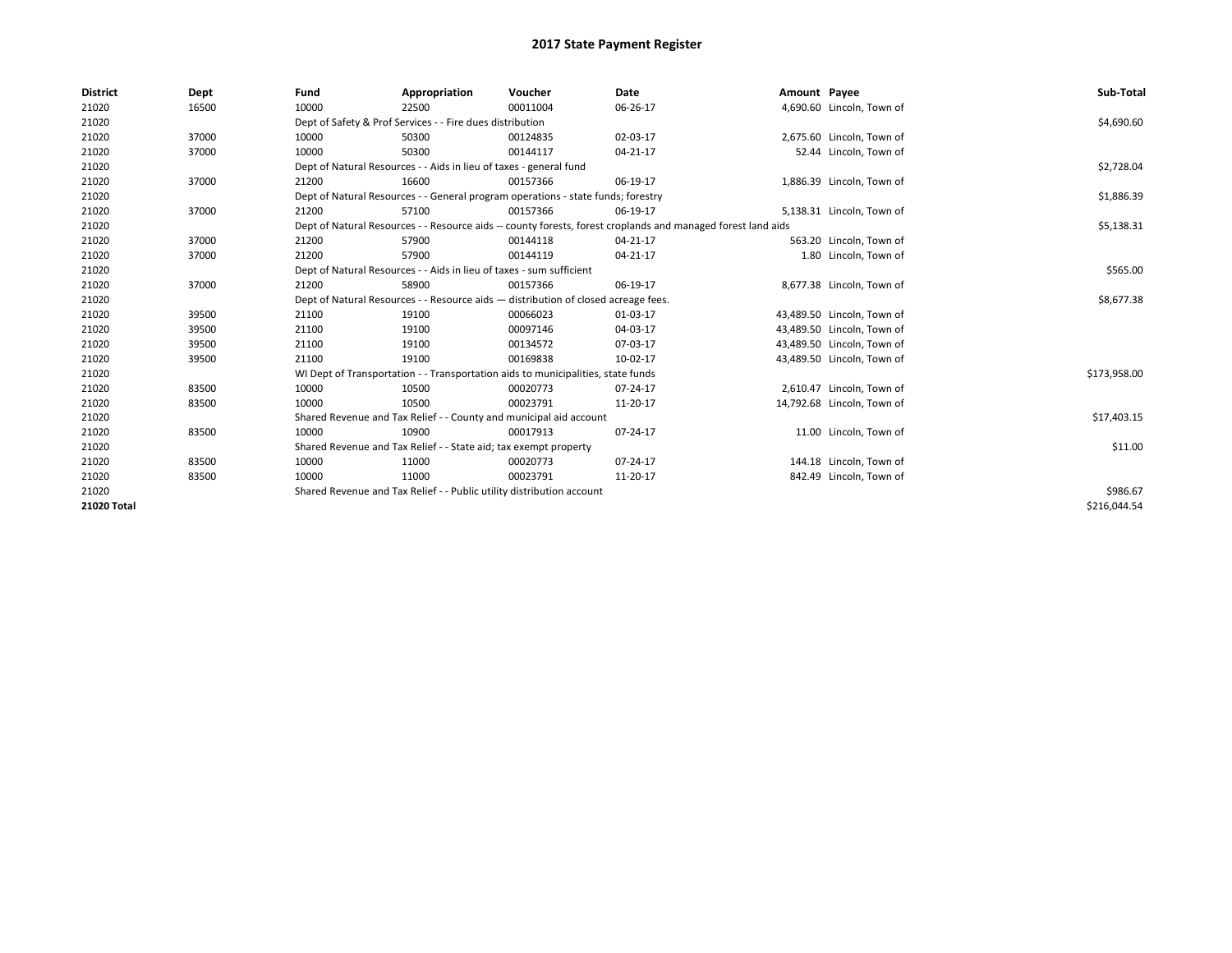| <b>District</b> | Dept  | Fund  | Appropriation                                                                      | Voucher  | Date                                                                                                         | Amount Payee |                            | Sub-Total    |  |  |  |
|-----------------|-------|-------|------------------------------------------------------------------------------------|----------|--------------------------------------------------------------------------------------------------------------|--------------|----------------------------|--------------|--|--|--|
| 21020           | 16500 | 10000 | 22500                                                                              | 00011004 | 06-26-17                                                                                                     |              | 4,690.60 Lincoln, Town of  |              |  |  |  |
| 21020           |       |       | Dept of Safety & Prof Services - - Fire dues distribution                          |          |                                                                                                              |              |                            | \$4,690.60   |  |  |  |
| 21020           | 37000 | 10000 | 50300                                                                              | 00124835 | 02-03-17                                                                                                     |              | 2,675.60 Lincoln, Town of  |              |  |  |  |
| 21020           | 37000 | 10000 | 50300                                                                              | 00144117 | 04-21-17                                                                                                     |              | 52.44 Lincoln, Town of     |              |  |  |  |
| 21020           |       |       | Dept of Natural Resources - - Aids in lieu of taxes - general fund                 |          |                                                                                                              |              |                            |              |  |  |  |
| 21020           | 37000 | 21200 | 16600                                                                              | 00157366 | 06-19-17                                                                                                     |              | 1,886.39 Lincoln, Town of  |              |  |  |  |
| 21020           |       |       | Dept of Natural Resources - - General program operations - state funds; forestry   |          |                                                                                                              |              |                            | \$1,886.39   |  |  |  |
| 21020           | 37000 | 21200 | 57100                                                                              | 00157366 | 06-19-17                                                                                                     |              | 5,138.31 Lincoln, Town of  |              |  |  |  |
| 21020           |       |       |                                                                                    |          | Dept of Natural Resources - - Resource aids -- county forests, forest croplands and managed forest land aids |              |                            | \$5,138.31   |  |  |  |
| 21020           | 37000 | 21200 | 57900                                                                              | 00144118 | 04-21-17                                                                                                     |              | 563.20 Lincoln, Town of    |              |  |  |  |
| 21020           | 37000 | 21200 | 57900                                                                              | 00144119 | 04-21-17                                                                                                     |              | 1.80 Lincoln, Town of      |              |  |  |  |
| 21020           |       |       | Dept of Natural Resources - - Aids in lieu of taxes - sum sufficient               |          |                                                                                                              |              |                            | \$565.00     |  |  |  |
| 21020           | 37000 | 21200 | 58900                                                                              | 00157366 | 06-19-17                                                                                                     |              | 8,677.38 Lincoln, Town of  |              |  |  |  |
| 21020           |       |       | Dept of Natural Resources - - Resource aids - distribution of closed acreage fees. |          |                                                                                                              |              |                            | \$8,677.38   |  |  |  |
| 21020           | 39500 | 21100 | 19100                                                                              | 00066023 | 01-03-17                                                                                                     |              | 43,489.50 Lincoln, Town of |              |  |  |  |
| 21020           | 39500 | 21100 | 19100                                                                              | 00097146 | 04-03-17                                                                                                     |              | 43,489.50 Lincoln, Town of |              |  |  |  |
| 21020           | 39500 | 21100 | 19100                                                                              | 00134572 | 07-03-17                                                                                                     |              | 43,489.50 Lincoln, Town of |              |  |  |  |
| 21020           | 39500 | 21100 | 19100                                                                              | 00169838 | 10-02-17                                                                                                     |              | 43,489.50 Lincoln, Town of |              |  |  |  |
| 21020           |       |       | WI Dept of Transportation - - Transportation aids to municipalities, state funds   |          |                                                                                                              |              |                            | \$173,958.00 |  |  |  |
| 21020           | 83500 | 10000 | 10500                                                                              | 00020773 | 07-24-17                                                                                                     |              | 2,610.47 Lincoln, Town of  |              |  |  |  |
| 21020           | 83500 | 10000 | 10500                                                                              | 00023791 | 11-20-17                                                                                                     |              | 14,792.68 Lincoln, Town of |              |  |  |  |
| 21020           |       |       | Shared Revenue and Tax Relief - - County and municipal aid account                 |          |                                                                                                              |              |                            | \$17,403.15  |  |  |  |
| 21020           | 83500 | 10000 | 10900                                                                              | 00017913 | 07-24-17                                                                                                     |              | 11.00 Lincoln, Town of     |              |  |  |  |
| 21020           |       |       | Shared Revenue and Tax Relief - - State aid; tax exempt property                   |          |                                                                                                              |              |                            | \$11.00      |  |  |  |
| 21020           | 83500 | 10000 | 11000                                                                              | 00020773 | 07-24-17                                                                                                     |              | 144.18 Lincoln, Town of    |              |  |  |  |
| 21020           | 83500 | 10000 | 11000                                                                              | 00023791 | 11-20-17                                                                                                     |              | 842.49 Lincoln, Town of    |              |  |  |  |
| 21020           |       |       | Shared Revenue and Tax Relief - - Public utility distribution account              |          |                                                                                                              |              |                            | \$986.67     |  |  |  |
| 21020 Total     |       |       |                                                                                    |          |                                                                                                              |              |                            | \$216.044.54 |  |  |  |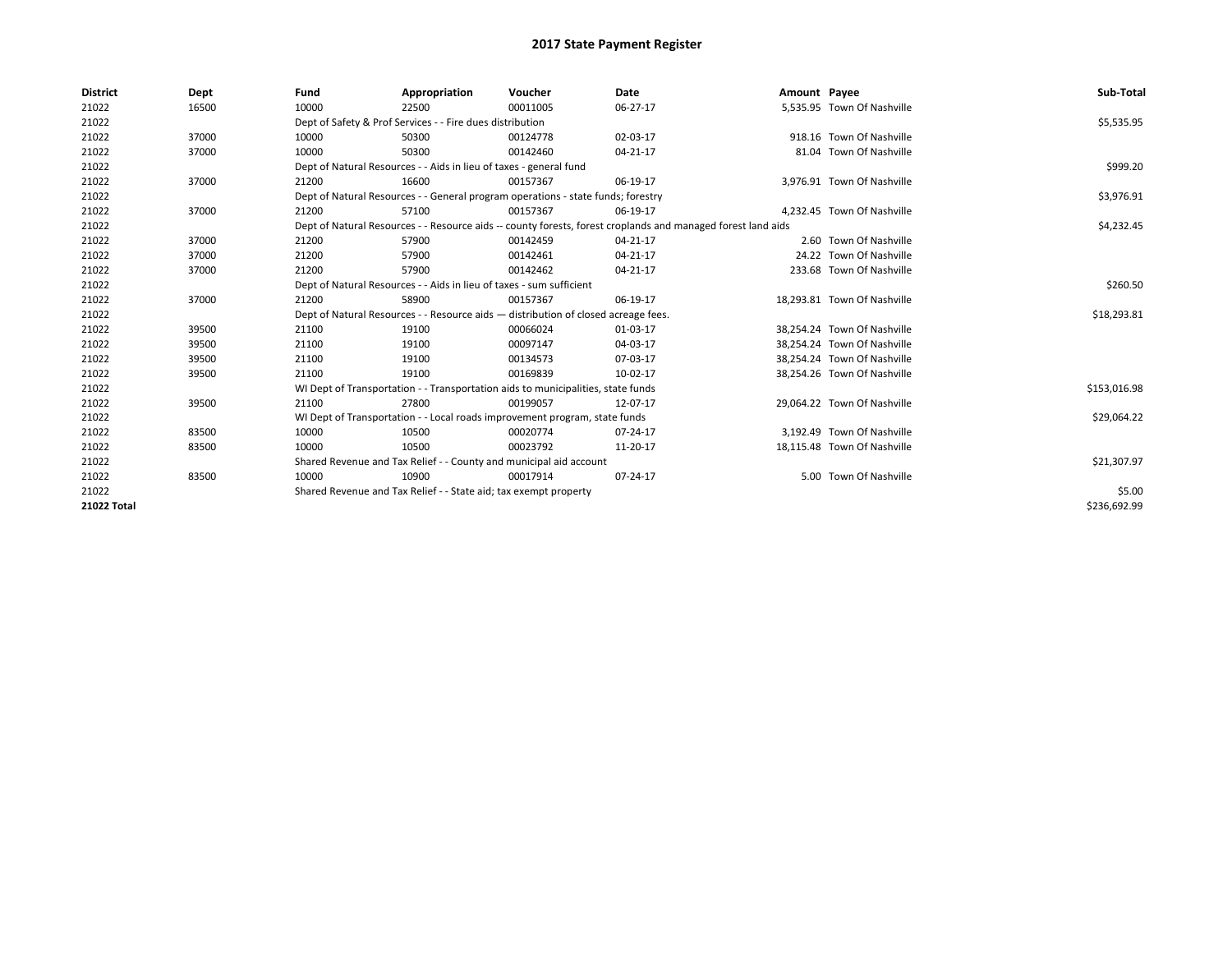| <b>District</b> | Dept  | Fund  | Appropriation                                                                      | Voucher  | <b>Date</b>                                                                                                  | Amount Payee |                             | Sub-Total    |
|-----------------|-------|-------|------------------------------------------------------------------------------------|----------|--------------------------------------------------------------------------------------------------------------|--------------|-----------------------------|--------------|
| 21022           | 16500 | 10000 | 22500                                                                              | 00011005 | 06-27-17                                                                                                     |              | 5,535.95 Town Of Nashville  |              |
| 21022           |       |       | Dept of Safety & Prof Services - - Fire dues distribution                          |          |                                                                                                              |              |                             | \$5,535.95   |
| 21022           | 37000 | 10000 | 50300                                                                              | 00124778 | 02-03-17                                                                                                     |              | 918.16 Town Of Nashville    |              |
| 21022           | 37000 | 10000 | 50300                                                                              | 00142460 | 04-21-17                                                                                                     |              | 81.04 Town Of Nashville     |              |
| 21022           |       |       | Dept of Natural Resources - - Aids in lieu of taxes - general fund                 |          |                                                                                                              |              |                             | \$999.20     |
| 21022           | 37000 | 21200 | 16600                                                                              | 00157367 | 06-19-17                                                                                                     |              | 3,976.91 Town Of Nashville  |              |
| 21022           |       |       | Dept of Natural Resources - - General program operations - state funds; forestry   |          |                                                                                                              |              |                             | \$3,976.91   |
| 21022           | 37000 | 21200 | 57100                                                                              | 00157367 | 06-19-17                                                                                                     |              | 4,232.45 Town Of Nashville  |              |
| 21022           |       |       |                                                                                    |          | Dept of Natural Resources - - Resource aids -- county forests, forest croplands and managed forest land aids |              |                             | \$4,232.45   |
| 21022           | 37000 | 21200 | 57900                                                                              | 00142459 | 04-21-17                                                                                                     |              | 2.60 Town Of Nashville      |              |
| 21022           | 37000 | 21200 | 57900                                                                              | 00142461 | 04-21-17                                                                                                     |              | 24.22 Town Of Nashville     |              |
| 21022           | 37000 | 21200 | 57900                                                                              | 00142462 | 04-21-17                                                                                                     |              | 233.68 Town Of Nashville    |              |
| 21022           |       |       | Dept of Natural Resources - - Aids in lieu of taxes - sum sufficient               |          |                                                                                                              |              |                             | \$260.50     |
| 21022           | 37000 | 21200 | 58900                                                                              | 00157367 | 06-19-17                                                                                                     |              | 18.293.81 Town Of Nashville |              |
| 21022           |       |       | Dept of Natural Resources - - Resource aids - distribution of closed acreage fees. |          |                                                                                                              |              |                             | \$18,293.81  |
| 21022           | 39500 | 21100 | 19100                                                                              | 00066024 | 01-03-17                                                                                                     |              | 38.254.24 Town Of Nashville |              |
| 21022           | 39500 | 21100 | 19100                                                                              | 00097147 | 04-03-17                                                                                                     |              | 38,254.24 Town Of Nashville |              |
| 21022           | 39500 | 21100 | 19100                                                                              | 00134573 | 07-03-17                                                                                                     |              | 38,254.24 Town Of Nashville |              |
| 21022           | 39500 | 21100 | 19100                                                                              | 00169839 | 10-02-17                                                                                                     |              | 38,254.26 Town Of Nashville |              |
| 21022           |       |       | WI Dept of Transportation - - Transportation aids to municipalities, state funds   |          |                                                                                                              |              |                             | \$153,016.98 |
| 21022           | 39500 | 21100 | 27800                                                                              | 00199057 | 12-07-17                                                                                                     |              | 29,064.22 Town Of Nashville |              |
| 21022           |       |       | WI Dept of Transportation - - Local roads improvement program, state funds         |          |                                                                                                              |              |                             | \$29,064.22  |
| 21022           | 83500 | 10000 | 10500                                                                              | 00020774 | 07-24-17                                                                                                     |              | 3,192.49 Town Of Nashville  |              |
| 21022           | 83500 | 10000 | 10500                                                                              | 00023792 | 11-20-17                                                                                                     |              | 18,115.48 Town Of Nashville |              |
| 21022           |       |       | Shared Revenue and Tax Relief - - County and municipal aid account                 |          |                                                                                                              |              |                             | \$21,307.97  |
| 21022           | 83500 | 10000 | 10900                                                                              | 00017914 | 07-24-17                                                                                                     |              | 5.00 Town Of Nashville      |              |
| 21022           |       |       | Shared Revenue and Tax Relief - - State aid; tax exempt property                   |          |                                                                                                              |              |                             | \$5.00       |
| 21022 Total     |       |       |                                                                                    |          |                                                                                                              |              |                             | \$236,692.99 |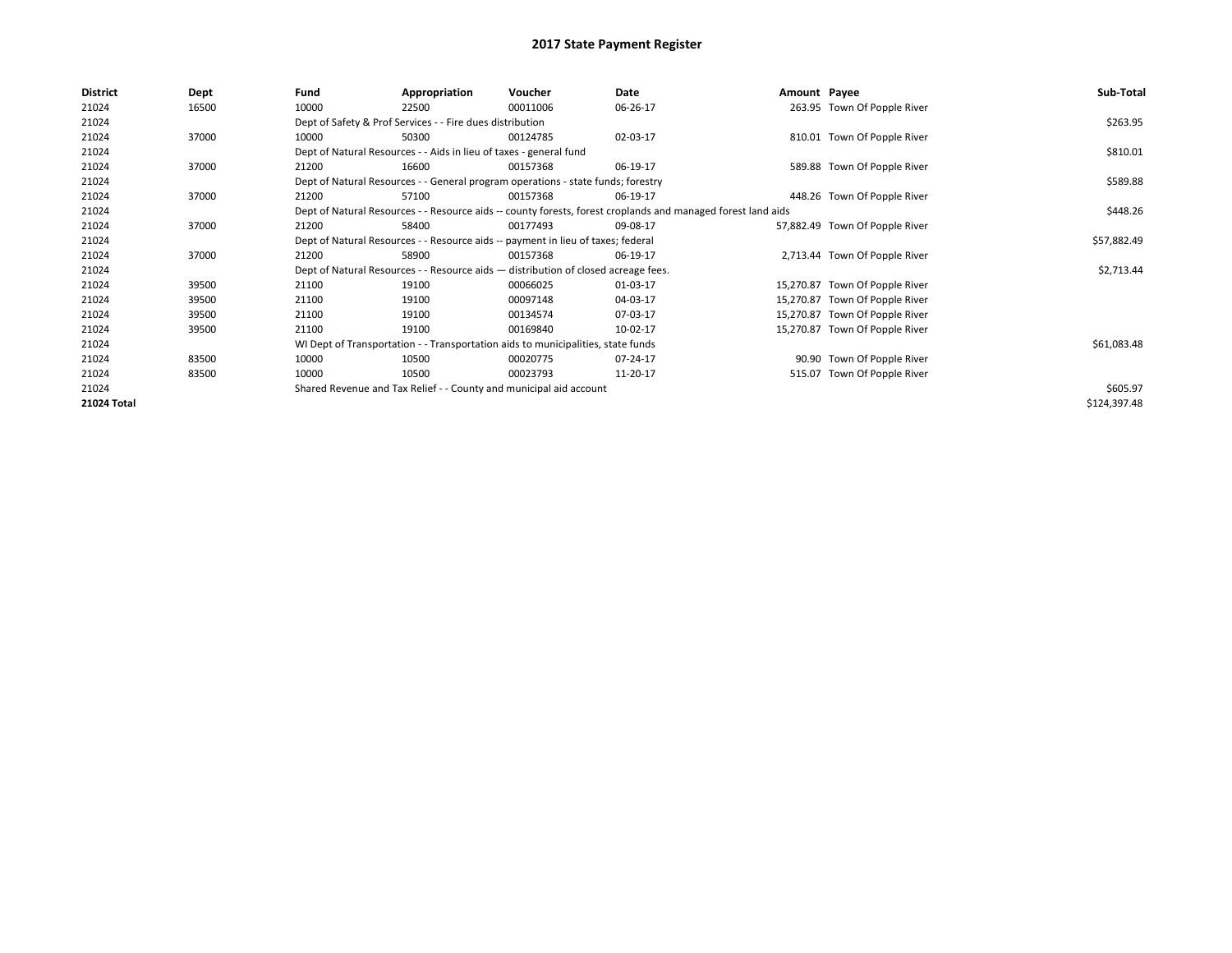| 10000<br>263.95 Town Of Popple River<br>21024<br>16500<br>00011006<br>06-26-17<br>22500                               |              |
|-----------------------------------------------------------------------------------------------------------------------|--------------|
| 21024<br>Dept of Safety & Prof Services - - Fire dues distribution                                                    | \$263.95     |
| 21024<br>37000<br>50300<br>02-03-17<br>810.01 Town Of Popple River<br>10000<br>00124785                               |              |
| 21024<br>Dept of Natural Resources - - Aids in lieu of taxes - general fund                                           | \$810.01     |
| 21024<br>37000<br>16600<br>589.88 Town Of Popple River<br>21200<br>00157368<br>06-19-17                               |              |
| 21024<br>Dept of Natural Resources - - General program operations - state funds; forestry                             | \$589.88     |
| 21024<br>448.26 Town Of Popple River<br>37000<br>21200<br>57100<br>06-19-17<br>00157368                               |              |
| 21024<br>Dept of Natural Resources - - Resource aids -- county forests, forest croplands and managed forest land aids | \$448.26     |
| 21024<br>37000<br>58400<br>21200<br>00177493<br>09-08-17<br>57,882.49 Town Of Popple River                            |              |
| 21024<br>Dept of Natural Resources - - Resource aids -- payment in lieu of taxes; federal                             | \$57,882.49  |
| 21024<br>37000<br>58900<br>2,713.44 Town Of Popple River<br>21200<br>00157368<br>06-19-17                             |              |
| 21024<br>Dept of Natural Resources - - Resource aids - distribution of closed acreage fees.                           | \$2,713.44   |
| 21024<br>21100<br>00066025<br>15,270.87 Town Of Popple River<br>39500<br>19100<br>01-03-17                            |              |
| 21024<br>39500<br>21100<br>19100<br>00097148<br>04-03-17<br>15,270.87 Town Of Popple River                            |              |
| 21024<br>21100<br>19100<br>15,270.87 Town Of Popple River<br>39500<br>00134574<br>07-03-17                            |              |
| 21024<br>19100<br>00169840<br>15,270.87 Town Of Popple River<br>39500<br>21100<br>10-02-17                            |              |
| 21024<br>WI Dept of Transportation - - Transportation aids to municipalities, state funds                             | \$61,083.48  |
| 21024<br>83500<br>10000<br>90.90 Town Of Popple River<br>10500<br>00020775<br>07-24-17                                |              |
| 515.07 Town Of Popple River<br>21024<br>83500<br>10000<br>10500<br>00023793<br>11-20-17                               |              |
| 21024<br>Shared Revenue and Tax Relief - - County and municipal aid account                                           | \$605.97     |
| 21024 Total                                                                                                           | \$124,397.48 |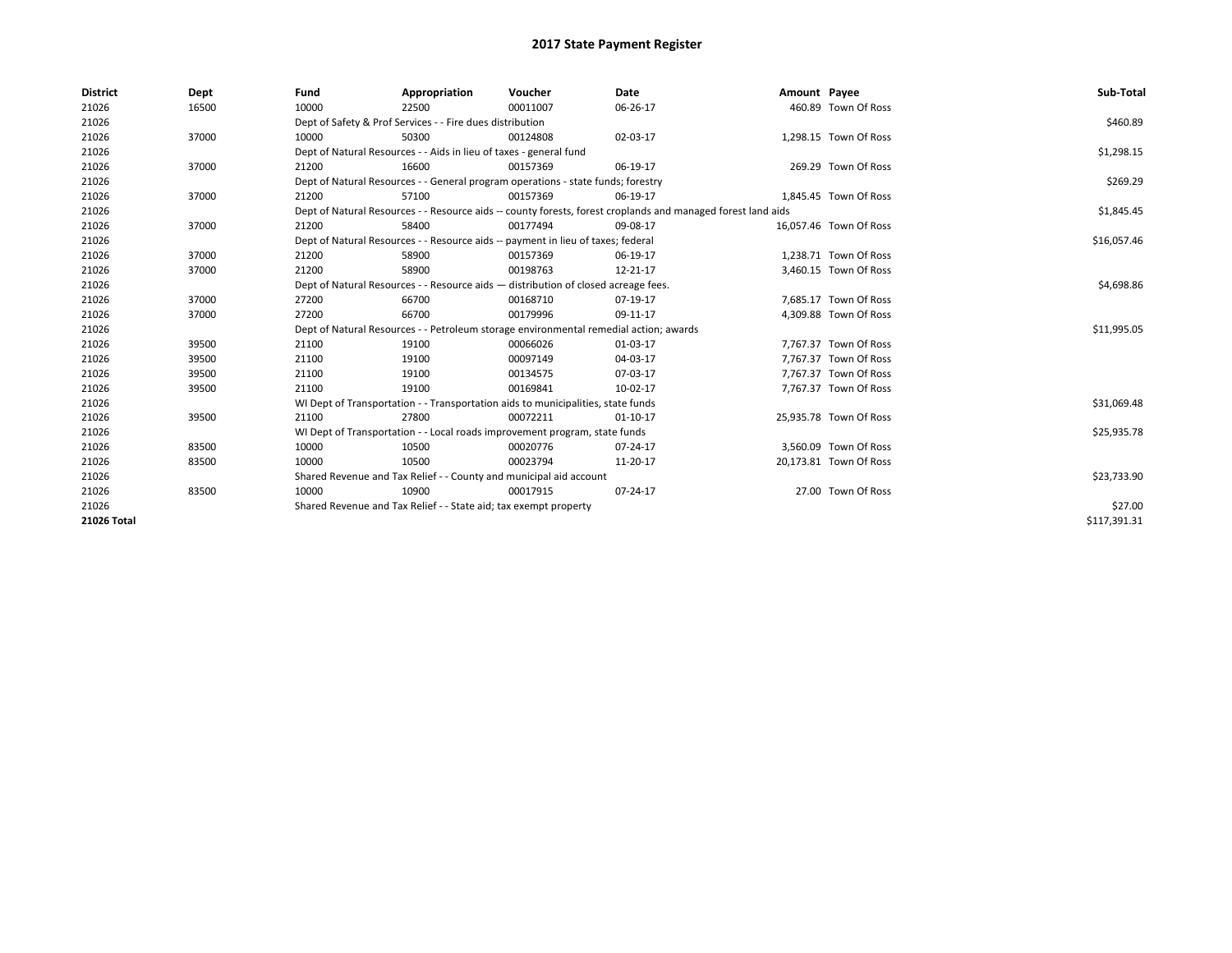| <b>District</b> | Dept  | Fund                                                                               | Appropriation                                                                         | Voucher    | Date                                                                                                         | Amount Payee |                        | Sub-Total    |
|-----------------|-------|------------------------------------------------------------------------------------|---------------------------------------------------------------------------------------|------------|--------------------------------------------------------------------------------------------------------------|--------------|------------------------|--------------|
| 21026           | 16500 | 10000                                                                              | 22500                                                                                 | 00011007   | 06-26-17                                                                                                     |              | 460.89 Town Of Ross    |              |
| 21026           |       |                                                                                    | Dept of Safety & Prof Services - - Fire dues distribution                             |            |                                                                                                              |              |                        | \$460.89     |
| 21026           | 37000 | 10000                                                                              | 50300                                                                                 | 00124808   | 02-03-17                                                                                                     |              | 1,298.15 Town Of Ross  |              |
| 21026           |       |                                                                                    | Dept of Natural Resources - - Aids in lieu of taxes - general fund                    |            |                                                                                                              |              |                        | \$1,298.15   |
| 21026           | 37000 | 21200                                                                              | 16600                                                                                 | 00157369   | 06-19-17                                                                                                     |              | 269.29 Town Of Ross    |              |
| 21026           |       |                                                                                    | Dept of Natural Resources - - General program operations - state funds; forestry      |            |                                                                                                              |              |                        | \$269.29     |
| 21026           | 37000 | 21200                                                                              | 57100                                                                                 | 00157369   | 06-19-17                                                                                                     |              | 1,845.45 Town Of Ross  |              |
| 21026           |       |                                                                                    |                                                                                       |            | Dept of Natural Resources - - Resource aids -- county forests, forest croplands and managed forest land aids |              |                        | \$1,845.45   |
| 21026           | 37000 | 21200                                                                              | 58400                                                                                 | 00177494   | 09-08-17                                                                                                     |              | 16,057.46 Town Of Ross |              |
| 21026           |       |                                                                                    | Dept of Natural Resources - - Resource aids -- payment in lieu of taxes; federal      |            |                                                                                                              |              |                        | \$16,057.46  |
| 21026           | 37000 | 21200                                                                              | 58900                                                                                 | 00157369   | 06-19-17                                                                                                     |              | 1,238.71 Town Of Ross  |              |
| 21026           | 37000 | 21200                                                                              | 58900                                                                                 | 00198763   | 12-21-17                                                                                                     |              | 3,460.15 Town Of Ross  |              |
| 21026           |       | Dept of Natural Resources - - Resource aids - distribution of closed acreage fees. |                                                                                       | \$4,698.86 |                                                                                                              |              |                        |              |
| 21026           | 37000 | 27200                                                                              | 66700                                                                                 | 00168710   | 07-19-17                                                                                                     |              | 7.685.17 Town Of Ross  |              |
| 21026           | 37000 | 27200                                                                              | 66700                                                                                 | 00179996   | 09-11-17                                                                                                     |              | 4,309.88 Town Of Ross  |              |
| 21026           |       |                                                                                    | Dept of Natural Resources - - Petroleum storage environmental remedial action; awards |            |                                                                                                              |              |                        | \$11,995.05  |
| 21026           | 39500 | 21100                                                                              | 19100                                                                                 | 00066026   | 01-03-17                                                                                                     |              | 7,767.37 Town Of Ross  |              |
| 21026           | 39500 | 21100                                                                              | 19100                                                                                 | 00097149   | 04-03-17                                                                                                     |              | 7,767.37 Town Of Ross  |              |
| 21026           | 39500 | 21100                                                                              | 19100                                                                                 | 00134575   | 07-03-17                                                                                                     |              | 7.767.37 Town Of Ross  |              |
| 21026           | 39500 | 21100                                                                              | 19100                                                                                 | 00169841   | 10-02-17                                                                                                     |              | 7,767.37 Town Of Ross  |              |
| 21026           |       |                                                                                    | WI Dept of Transportation - - Transportation aids to municipalities, state funds      |            |                                                                                                              |              |                        | \$31,069.48  |
| 21026           | 39500 | 21100                                                                              | 27800                                                                                 | 00072211   | $01 - 10 - 17$                                                                                               |              | 25,935.78 Town Of Ross |              |
| 21026           |       |                                                                                    | WI Dept of Transportation - - Local roads improvement program, state funds            |            |                                                                                                              |              |                        | \$25,935.78  |
| 21026           | 83500 | 10000                                                                              | 10500                                                                                 | 00020776   | 07-24-17                                                                                                     |              | 3,560.09 Town Of Ross  |              |
| 21026           | 83500 | 10000                                                                              | 10500                                                                                 | 00023794   | 11-20-17                                                                                                     |              | 20,173.81 Town Of Ross |              |
| 21026           |       |                                                                                    | Shared Revenue and Tax Relief - - County and municipal aid account                    |            |                                                                                                              |              |                        | \$23,733.90  |
| 21026           | 83500 | 10000                                                                              | 10900                                                                                 | 00017915   | 07-24-17                                                                                                     |              | 27.00 Town Of Ross     |              |
| 21026           |       |                                                                                    | Shared Revenue and Tax Relief - - State aid; tax exempt property                      |            |                                                                                                              |              |                        | \$27.00      |
| 21026 Total     |       |                                                                                    |                                                                                       |            |                                                                                                              |              |                        | \$117,391.31 |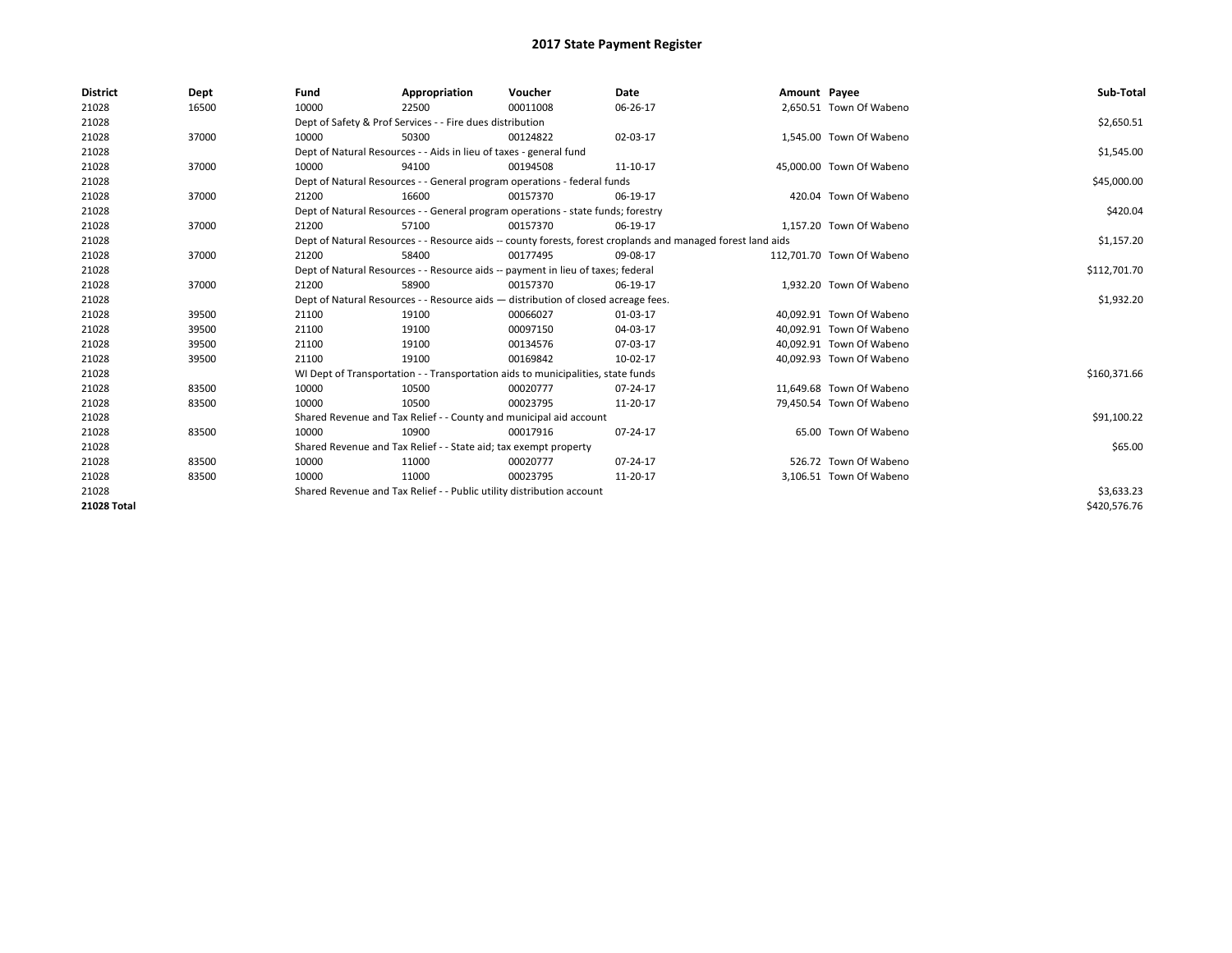| <b>District</b>    | Dept  | Fund  | Appropriation                                                                                                | Voucher  | Date     | Amount Payee |                           | Sub-Total    |  |  |  |
|--------------------|-------|-------|--------------------------------------------------------------------------------------------------------------|----------|----------|--------------|---------------------------|--------------|--|--|--|
| 21028              | 16500 | 10000 | 22500                                                                                                        | 00011008 | 06-26-17 |              | 2,650.51 Town Of Wabeno   |              |  |  |  |
| 21028              |       |       | Dept of Safety & Prof Services - - Fire dues distribution                                                    |          |          |              |                           |              |  |  |  |
| 21028              | 37000 | 10000 | 50300                                                                                                        | 00124822 | 02-03-17 |              | 1,545.00 Town Of Wabeno   |              |  |  |  |
| 21028              |       |       | Dept of Natural Resources - - Aids in lieu of taxes - general fund                                           |          |          |              |                           | \$1,545.00   |  |  |  |
| 21028              | 37000 | 10000 | 94100                                                                                                        | 00194508 | 11-10-17 |              | 45,000.00 Town Of Wabeno  |              |  |  |  |
| 21028              |       |       | Dept of Natural Resources - - General program operations - federal funds                                     |          |          |              |                           | \$45,000.00  |  |  |  |
| 21028              | 37000 | 21200 | 16600                                                                                                        | 00157370 | 06-19-17 |              | 420.04 Town Of Wabeno     |              |  |  |  |
| 21028              |       |       | Dept of Natural Resources - - General program operations - state funds; forestry                             |          |          |              |                           | \$420.04     |  |  |  |
| 21028              | 37000 | 21200 | 57100                                                                                                        | 00157370 | 06-19-17 |              | 1,157.20 Town Of Wabeno   |              |  |  |  |
| 21028              |       |       | Dept of Natural Resources - - Resource aids -- county forests, forest croplands and managed forest land aids |          |          |              |                           | \$1,157.20   |  |  |  |
| 21028              | 37000 | 21200 | 58400                                                                                                        | 00177495 | 09-08-17 |              | 112,701.70 Town Of Wabeno |              |  |  |  |
| 21028              |       |       | Dept of Natural Resources - - Resource aids -- payment in lieu of taxes; federal                             |          |          |              |                           | \$112,701.70 |  |  |  |
| 21028              | 37000 | 21200 | 58900                                                                                                        | 00157370 | 06-19-17 |              | 1,932.20 Town Of Wabeno   |              |  |  |  |
| 21028              |       |       | Dept of Natural Resources - - Resource aids - distribution of closed acreage fees.                           |          |          |              |                           | \$1,932.20   |  |  |  |
| 21028              | 39500 | 21100 | 19100                                                                                                        | 00066027 | 01-03-17 |              | 40,092.91 Town Of Wabeno  |              |  |  |  |
| 21028              | 39500 | 21100 | 19100                                                                                                        | 00097150 | 04-03-17 |              | 40.092.91 Town Of Wabeno  |              |  |  |  |
| 21028              | 39500 | 21100 | 19100                                                                                                        | 00134576 | 07-03-17 |              | 40,092.91 Town Of Wabeno  |              |  |  |  |
| 21028              | 39500 | 21100 | 19100                                                                                                        | 00169842 | 10-02-17 |              | 40,092.93 Town Of Wabeno  |              |  |  |  |
| 21028              |       |       | WI Dept of Transportation - - Transportation aids to municipalities, state funds                             |          |          |              |                           | \$160,371.66 |  |  |  |
| 21028              | 83500 | 10000 | 10500                                                                                                        | 00020777 | 07-24-17 |              | 11,649.68 Town Of Wabeno  |              |  |  |  |
| 21028              | 83500 | 10000 | 10500                                                                                                        | 00023795 | 11-20-17 |              | 79,450.54 Town Of Wabeno  |              |  |  |  |
| 21028              |       |       | Shared Revenue and Tax Relief - - County and municipal aid account                                           |          |          |              |                           | \$91,100.22  |  |  |  |
| 21028              | 83500 | 10000 | 10900                                                                                                        | 00017916 | 07-24-17 |              | 65.00 Town Of Wabeno      |              |  |  |  |
| 21028              |       |       | Shared Revenue and Tax Relief - - State aid; tax exempt property                                             |          |          |              |                           | \$65.00      |  |  |  |
| 21028              | 83500 | 10000 | 11000                                                                                                        | 00020777 | 07-24-17 |              | 526.72 Town Of Wabeno     |              |  |  |  |
| 21028              | 83500 | 10000 | 11000                                                                                                        | 00023795 | 11-20-17 |              | 3,106.51 Town Of Wabeno   |              |  |  |  |
| 21028              |       |       | Shared Revenue and Tax Relief - - Public utility distribution account                                        |          |          |              |                           | \$3,633.23   |  |  |  |
| <b>21028 Total</b> |       |       |                                                                                                              |          |          |              |                           | \$420.576.76 |  |  |  |